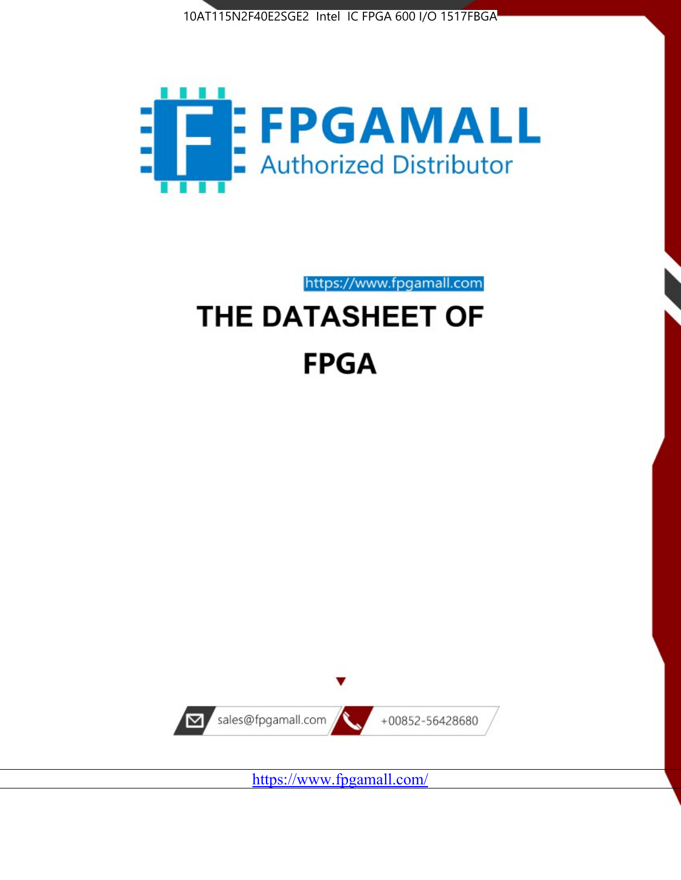



https://www.fpgamall.com

# THE DATASHEET OF **FPGA**



<https://www.fpgamall.com/>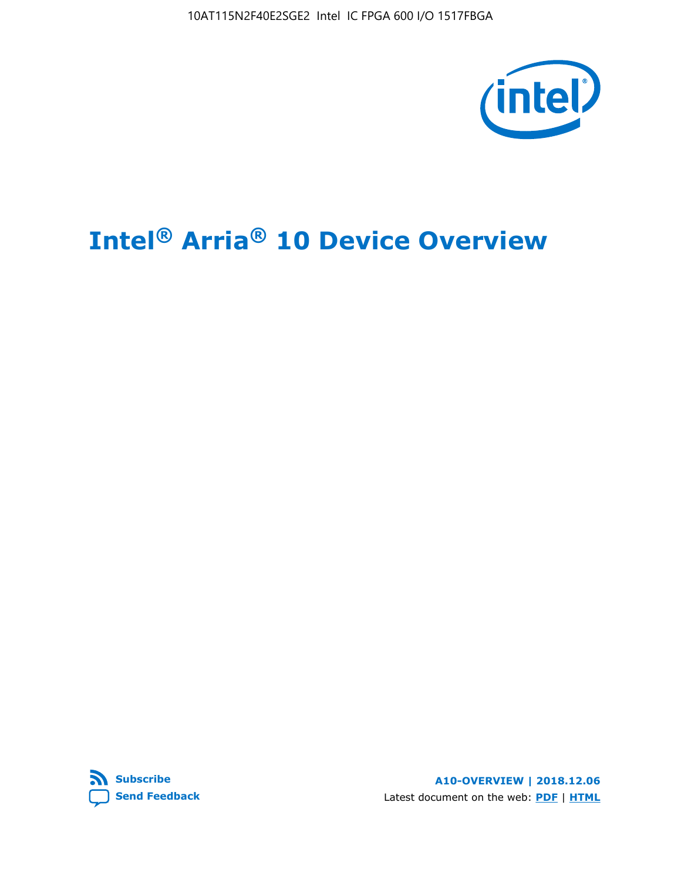10AT115N2F40E2SGE2 Intel IC FPGA 600 I/O 1517FBGA



# **Intel® Arria® 10 Device Overview**



**A10-OVERVIEW | 2018.12.06** Latest document on the web: **[PDF](https://www.intel.com/content/dam/www/programmable/us/en/pdfs/literature/hb/arria-10/a10_overview.pdf)** | **[HTML](https://www.intel.com/content/www/us/en/programmable/documentation/sam1403480274650.html)**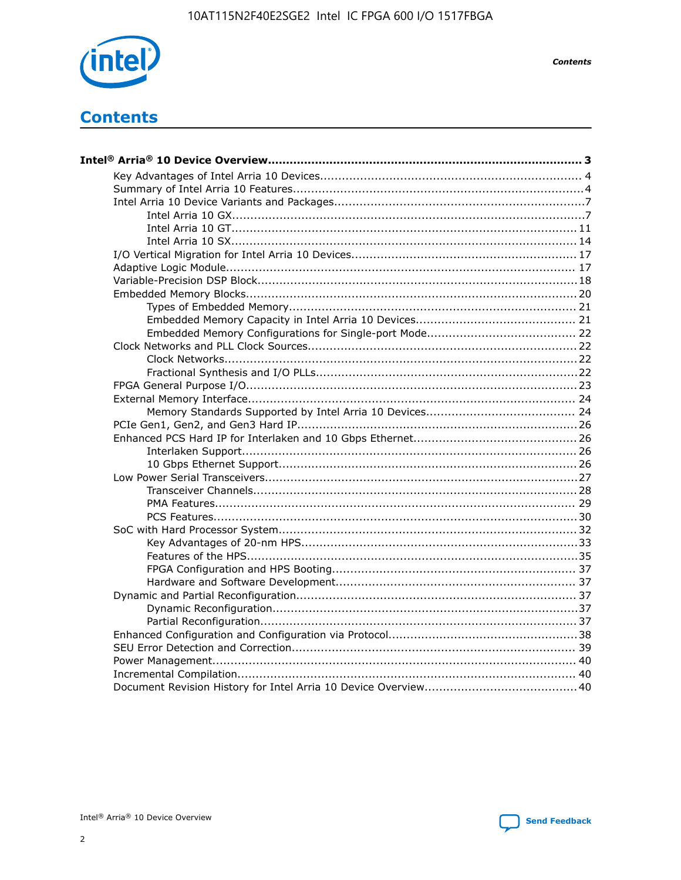

**Contents** 

# **Contents**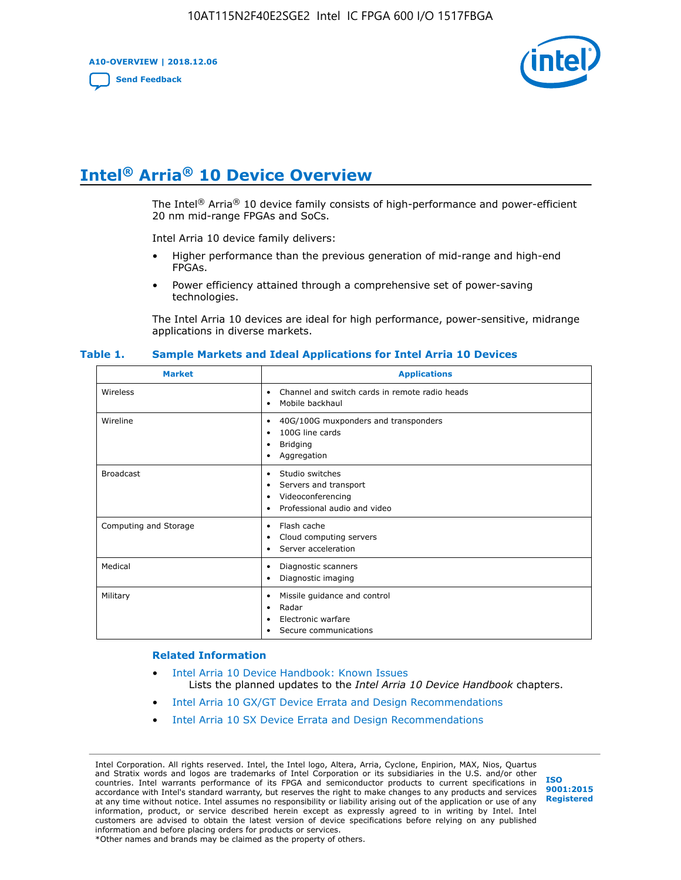**A10-OVERVIEW | 2018.12.06**

**[Send Feedback](mailto:FPGAtechdocfeedback@intel.com?subject=Feedback%20on%20Intel%20Arria%2010%20Device%20Overview%20(A10-OVERVIEW%202018.12.06)&body=We%20appreciate%20your%20feedback.%20In%20your%20comments,%20also%20specify%20the%20page%20number%20or%20paragraph.%20Thank%20you.)**



# **Intel® Arria® 10 Device Overview**

The Intel<sup>®</sup> Arria<sup>®</sup> 10 device family consists of high-performance and power-efficient 20 nm mid-range FPGAs and SoCs.

Intel Arria 10 device family delivers:

- Higher performance than the previous generation of mid-range and high-end FPGAs.
- Power efficiency attained through a comprehensive set of power-saving technologies.

The Intel Arria 10 devices are ideal for high performance, power-sensitive, midrange applications in diverse markets.

| <b>Market</b>         | <b>Applications</b>                                                                                               |
|-----------------------|-------------------------------------------------------------------------------------------------------------------|
| Wireless              | Channel and switch cards in remote radio heads<br>٠<br>Mobile backhaul<br>٠                                       |
| Wireline              | 40G/100G muxponders and transponders<br>٠<br>100G line cards<br>٠<br><b>Bridging</b><br>٠<br>Aggregation<br>٠     |
| <b>Broadcast</b>      | Studio switches<br>٠<br>Servers and transport<br>٠<br>Videoconferencing<br>٠<br>Professional audio and video<br>٠ |
| Computing and Storage | Flash cache<br>٠<br>Cloud computing servers<br>٠<br>Server acceleration<br>٠                                      |
| Medical               | Diagnostic scanners<br>٠<br>Diagnostic imaging<br>٠                                                               |
| Military              | Missile guidance and control<br>٠<br>Radar<br>٠<br>Electronic warfare<br>٠<br>Secure communications<br>٠          |

#### **Table 1. Sample Markets and Ideal Applications for Intel Arria 10 Devices**

#### **Related Information**

- [Intel Arria 10 Device Handbook: Known Issues](http://www.altera.com/support/kdb/solutions/rd07302013_646.html) Lists the planned updates to the *Intel Arria 10 Device Handbook* chapters.
- [Intel Arria 10 GX/GT Device Errata and Design Recommendations](https://www.intel.com/content/www/us/en/programmable/documentation/agz1493851706374.html#yqz1494433888646)
- [Intel Arria 10 SX Device Errata and Design Recommendations](https://www.intel.com/content/www/us/en/programmable/documentation/cru1462832385668.html#cru1462832558642)

Intel Corporation. All rights reserved. Intel, the Intel logo, Altera, Arria, Cyclone, Enpirion, MAX, Nios, Quartus and Stratix words and logos are trademarks of Intel Corporation or its subsidiaries in the U.S. and/or other countries. Intel warrants performance of its FPGA and semiconductor products to current specifications in accordance with Intel's standard warranty, but reserves the right to make changes to any products and services at any time without notice. Intel assumes no responsibility or liability arising out of the application or use of any information, product, or service described herein except as expressly agreed to in writing by Intel. Intel customers are advised to obtain the latest version of device specifications before relying on any published information and before placing orders for products or services. \*Other names and brands may be claimed as the property of others.

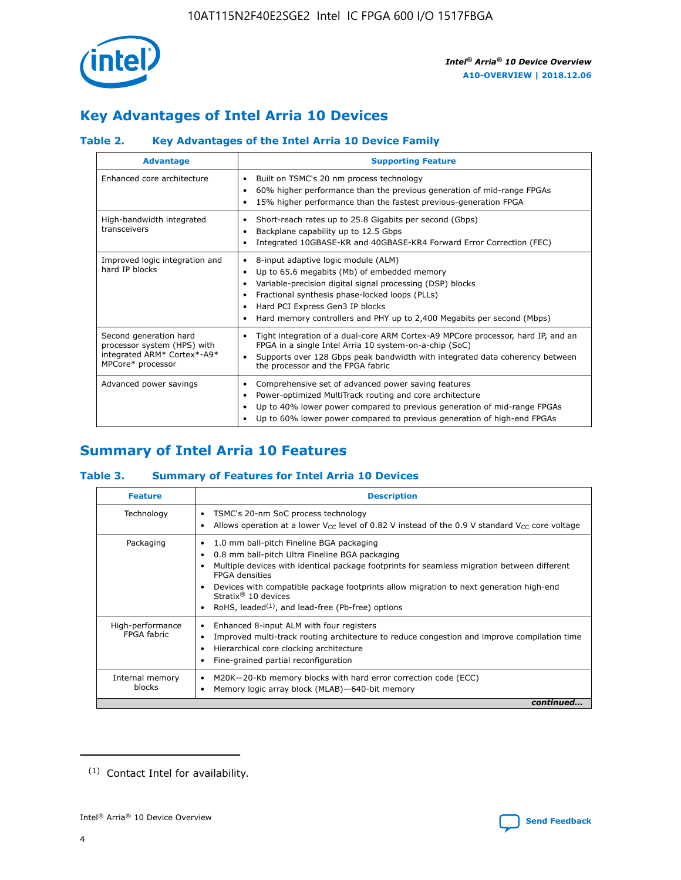

# **Key Advantages of Intel Arria 10 Devices**

# **Table 2. Key Advantages of the Intel Arria 10 Device Family**

| <b>Advantage</b>                                                                                          | <b>Supporting Feature</b>                                                                                                                                                                                                                                                                                                     |
|-----------------------------------------------------------------------------------------------------------|-------------------------------------------------------------------------------------------------------------------------------------------------------------------------------------------------------------------------------------------------------------------------------------------------------------------------------|
| Enhanced core architecture                                                                                | Built on TSMC's 20 nm process technology<br>٠<br>60% higher performance than the previous generation of mid-range FPGAs<br>٠<br>15% higher performance than the fastest previous-generation FPGA<br>٠                                                                                                                         |
| High-bandwidth integrated<br>transceivers                                                                 | Short-reach rates up to 25.8 Gigabits per second (Gbps)<br>٠<br>Backplane capability up to 12.5 Gbps<br>٠<br>Integrated 10GBASE-KR and 40GBASE-KR4 Forward Error Correction (FEC)<br>٠                                                                                                                                        |
| Improved logic integration and<br>hard IP blocks                                                          | 8-input adaptive logic module (ALM)<br>٠<br>Up to 65.6 megabits (Mb) of embedded memory<br>٠<br>Variable-precision digital signal processing (DSP) blocks<br>Fractional synthesis phase-locked loops (PLLs)<br>٠<br>Hard PCI Express Gen3 IP blocks<br>Hard memory controllers and PHY up to 2,400 Megabits per second (Mbps) |
| Second generation hard<br>processor system (HPS) with<br>integrated ARM* Cortex*-A9*<br>MPCore* processor | Tight integration of a dual-core ARM Cortex-A9 MPCore processor, hard IP, and an<br>٠<br>FPGA in a single Intel Arria 10 system-on-a-chip (SoC)<br>Supports over 128 Gbps peak bandwidth with integrated data coherency between<br>$\bullet$<br>the processor and the FPGA fabric                                             |
| Advanced power savings                                                                                    | Comprehensive set of advanced power saving features<br>٠<br>Power-optimized MultiTrack routing and core architecture<br>٠<br>Up to 40% lower power compared to previous generation of mid-range FPGAs<br>Up to 60% lower power compared to previous generation of high-end FPGAs<br>٠                                         |

# **Summary of Intel Arria 10 Features**

## **Table 3. Summary of Features for Intel Arria 10 Devices**

| <b>Feature</b>                  | <b>Description</b>                                                                                                                                                                                                                                                                                                                                                                                           |
|---------------------------------|--------------------------------------------------------------------------------------------------------------------------------------------------------------------------------------------------------------------------------------------------------------------------------------------------------------------------------------------------------------------------------------------------------------|
| Technology                      | TSMC's 20-nm SoC process technology<br>Allows operation at a lower $V_{\text{CC}}$ level of 0.82 V instead of the 0.9 V standard $V_{\text{CC}}$ core voltage                                                                                                                                                                                                                                                |
| Packaging                       | 1.0 mm ball-pitch Fineline BGA packaging<br>٠<br>0.8 mm ball-pitch Ultra Fineline BGA packaging<br>Multiple devices with identical package footprints for seamless migration between different<br><b>FPGA</b> densities<br>Devices with compatible package footprints allow migration to next generation high-end<br>Stratix <sup>®</sup> 10 devices<br>RoHS, leaded $(1)$ , and lead-free (Pb-free) options |
| High-performance<br>FPGA fabric | Enhanced 8-input ALM with four registers<br>Improved multi-track routing architecture to reduce congestion and improve compilation time<br>Hierarchical core clocking architecture<br>Fine-grained partial reconfiguration                                                                                                                                                                                   |
| Internal memory<br>blocks       | M20K-20-Kb memory blocks with hard error correction code (ECC)<br>Memory logic array block (MLAB)-640-bit memory                                                                                                                                                                                                                                                                                             |
|                                 | continued                                                                                                                                                                                                                                                                                                                                                                                                    |



<sup>(1)</sup> Contact Intel for availability.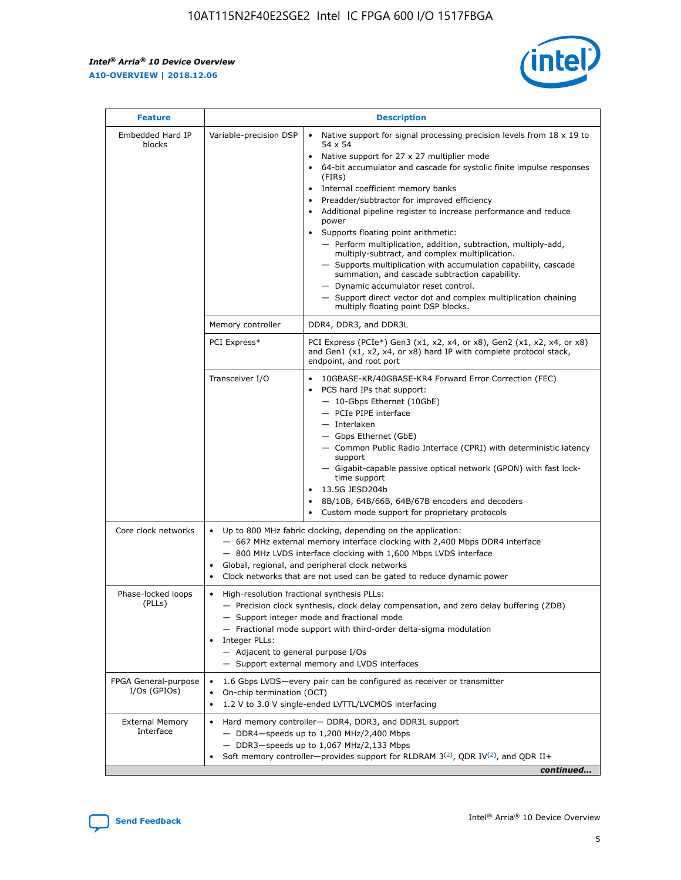$\mathsf{r}$ 



| <b>Feature</b>                         |                                                                                                                | <b>Description</b>                                                                                                                                                                                                                                                                                                                                                                                                                                                                                                                                                                                                                                                                                                                                                                                                                          |  |  |  |  |  |
|----------------------------------------|----------------------------------------------------------------------------------------------------------------|---------------------------------------------------------------------------------------------------------------------------------------------------------------------------------------------------------------------------------------------------------------------------------------------------------------------------------------------------------------------------------------------------------------------------------------------------------------------------------------------------------------------------------------------------------------------------------------------------------------------------------------------------------------------------------------------------------------------------------------------------------------------------------------------------------------------------------------------|--|--|--|--|--|
| Embedded Hard IP<br>blocks             | Variable-precision DSP                                                                                         | Native support for signal processing precision levels from $18 \times 19$ to<br>$\bullet$<br>54 x 54<br>Native support for 27 x 27 multiplier mode<br>64-bit accumulator and cascade for systolic finite impulse responses<br>(FIRs)<br>Internal coefficient memory banks<br>٠<br>Preadder/subtractor for improved efficiency<br>Additional pipeline register to increase performance and reduce<br>power<br>Supports floating point arithmetic:<br>- Perform multiplication, addition, subtraction, multiply-add,<br>multiply-subtract, and complex multiplication.<br>- Supports multiplication with accumulation capability, cascade<br>summation, and cascade subtraction capability.<br>- Dynamic accumulator reset control.<br>- Support direct vector dot and complex multiplication chaining<br>multiply floating point DSP blocks. |  |  |  |  |  |
|                                        | Memory controller                                                                                              | DDR4, DDR3, and DDR3L                                                                                                                                                                                                                                                                                                                                                                                                                                                                                                                                                                                                                                                                                                                                                                                                                       |  |  |  |  |  |
|                                        | PCI Express*                                                                                                   | PCI Express (PCIe*) Gen3 (x1, x2, x4, or x8), Gen2 (x1, x2, x4, or x8)<br>and Gen1 (x1, x2, x4, or x8) hard IP with complete protocol stack,<br>endpoint, and root port                                                                                                                                                                                                                                                                                                                                                                                                                                                                                                                                                                                                                                                                     |  |  |  |  |  |
|                                        | Transceiver I/O                                                                                                | 10GBASE-KR/40GBASE-KR4 Forward Error Correction (FEC)<br>PCS hard IPs that support:<br>- 10-Gbps Ethernet (10GbE)<br>- PCIe PIPE interface<br>- Interlaken<br>- Gbps Ethernet (GbE)<br>- Common Public Radio Interface (CPRI) with deterministic latency<br>support<br>- Gigabit-capable passive optical network (GPON) with fast lock-<br>time support<br>13.5G JESD204b<br>$\bullet$<br>8B/10B, 64B/66B, 64B/67B encoders and decoders<br>Custom mode support for proprietary protocols                                                                                                                                                                                                                                                                                                                                                   |  |  |  |  |  |
| Core clock networks                    | $\bullet$<br>$\bullet$                                                                                         | Up to 800 MHz fabric clocking, depending on the application:<br>- 667 MHz external memory interface clocking with 2,400 Mbps DDR4 interface<br>- 800 MHz LVDS interface clocking with 1,600 Mbps LVDS interface<br>Global, regional, and peripheral clock networks<br>Clock networks that are not used can be gated to reduce dynamic power                                                                                                                                                                                                                                                                                                                                                                                                                                                                                                 |  |  |  |  |  |
| Phase-locked loops<br>(PLLs)           | High-resolution fractional synthesis PLLs:<br>$\bullet$<br>Integer PLLs:<br>- Adjacent to general purpose I/Os | - Precision clock synthesis, clock delay compensation, and zero delay buffering (ZDB)<br>- Support integer mode and fractional mode<br>- Fractional mode support with third-order delta-sigma modulation<br>- Support external memory and LVDS interfaces                                                                                                                                                                                                                                                                                                                                                                                                                                                                                                                                                                                   |  |  |  |  |  |
| FPGA General-purpose<br>$I/Os$ (GPIOs) | $\bullet$                                                                                                      | 1.6 Gbps LVDS-every pair can be configured as receiver or transmitter<br>On-chip termination (OCT)<br>1.2 V to 3.0 V single-ended LVTTL/LVCMOS interfacing                                                                                                                                                                                                                                                                                                                                                                                                                                                                                                                                                                                                                                                                                  |  |  |  |  |  |
| <b>External Memory</b><br>Interface    |                                                                                                                | Hard memory controller- DDR4, DDR3, and DDR3L support<br>$-$ DDR4-speeds up to 1,200 MHz/2,400 Mbps<br>- DDR3-speeds up to 1,067 MHz/2,133 Mbps<br>Soft memory controller—provides support for RLDRAM $3^{(2)}$ , QDR IV $(2^2)$ , and QDR II+<br>continued                                                                                                                                                                                                                                                                                                                                                                                                                                                                                                                                                                                 |  |  |  |  |  |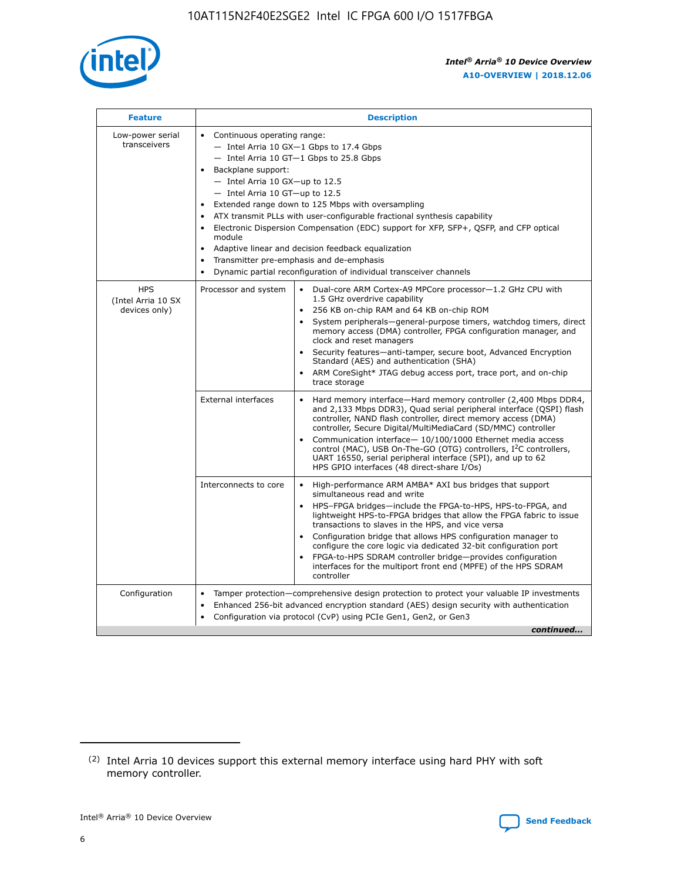

| <b>Feature</b>                                    | <b>Description</b>                                                                                                                                                                                                                                                                                                                                                                                                                                                                                                                                                                                                                                  |
|---------------------------------------------------|-----------------------------------------------------------------------------------------------------------------------------------------------------------------------------------------------------------------------------------------------------------------------------------------------------------------------------------------------------------------------------------------------------------------------------------------------------------------------------------------------------------------------------------------------------------------------------------------------------------------------------------------------------|
| Low-power serial<br>transceivers                  | • Continuous operating range:<br>- Intel Arria 10 GX-1 Gbps to 17.4 Gbps<br>- Intel Arria 10 GT-1 Gbps to 25.8 Gbps<br>Backplane support:<br>- Intel Arria 10 GX-up to 12.5<br>- Intel Arria 10 GT-up to 12.5<br>Extended range down to 125 Mbps with oversampling<br>ATX transmit PLLs with user-configurable fractional synthesis capability<br>Electronic Dispersion Compensation (EDC) support for XFP, SFP+, QSFP, and CFP optical<br>module<br>Adaptive linear and decision feedback equalization<br>$\bullet$<br>Transmitter pre-emphasis and de-emphasis<br>$\bullet$<br>Dynamic partial reconfiguration of individual transceiver channels |
| <b>HPS</b><br>(Intel Arria 10 SX<br>devices only) | Dual-core ARM Cortex-A9 MPCore processor-1.2 GHz CPU with<br>Processor and system<br>$\bullet$<br>1.5 GHz overdrive capability<br>256 KB on-chip RAM and 64 KB on-chip ROM<br>System peripherals—general-purpose timers, watchdog timers, direct<br>memory access (DMA) controller, FPGA configuration manager, and<br>clock and reset managers<br>Security features-anti-tamper, secure boot, Advanced Encryption<br>Standard (AES) and authentication (SHA)<br>ARM CoreSight* JTAG debug access port, trace port, and on-chip<br>trace storage                                                                                                    |
|                                                   | <b>External interfaces</b><br>Hard memory interface-Hard memory controller (2,400 Mbps DDR4,<br>$\bullet$<br>and 2,133 Mbps DDR3), Quad serial peripheral interface (QSPI) flash<br>controller, NAND flash controller, direct memory access (DMA)<br>controller, Secure Digital/MultiMediaCard (SD/MMC) controller<br>Communication interface-10/100/1000 Ethernet media access<br>control (MAC), USB On-The-GO (OTG) controllers, I <sup>2</sup> C controllers,<br>UART 16550, serial peripheral interface (SPI), and up to 62<br>HPS GPIO interfaces (48 direct-share I/Os)                                                                       |
|                                                   | High-performance ARM AMBA* AXI bus bridges that support<br>Interconnects to core<br>$\bullet$<br>simultaneous read and write<br>HPS-FPGA bridges-include the FPGA-to-HPS, HPS-to-FPGA, and<br>$\bullet$<br>lightweight HPS-to-FPGA bridges that allow the FPGA fabric to issue<br>transactions to slaves in the HPS, and vice versa<br>Configuration bridge that allows HPS configuration manager to<br>configure the core logic via dedicated 32-bit configuration port<br>FPGA-to-HPS SDRAM controller bridge-provides configuration<br>interfaces for the multiport front end (MPFE) of the HPS SDRAM<br>controller                              |
| Configuration                                     | Tamper protection—comprehensive design protection to protect your valuable IP investments<br>Enhanced 256-bit advanced encryption standard (AES) design security with authentication<br>٠<br>Configuration via protocol (CvP) using PCIe Gen1, Gen2, or Gen3<br>continued                                                                                                                                                                                                                                                                                                                                                                           |

<sup>(2)</sup> Intel Arria 10 devices support this external memory interface using hard PHY with soft memory controller.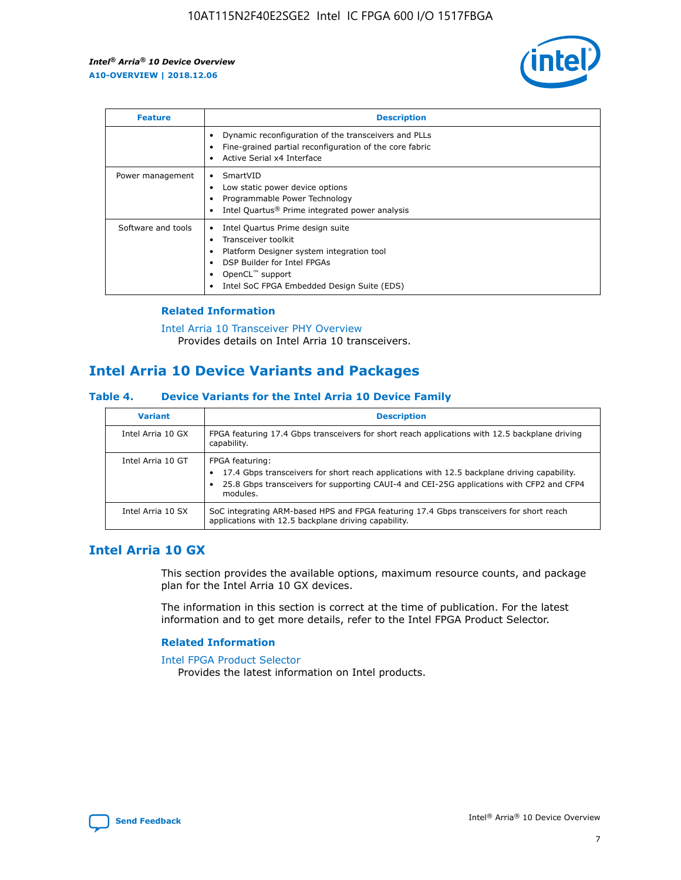

| <b>Feature</b>     | <b>Description</b>                                                                                                                                                                                                    |
|--------------------|-----------------------------------------------------------------------------------------------------------------------------------------------------------------------------------------------------------------------|
|                    | Dynamic reconfiguration of the transceivers and PLLs<br>Fine-grained partial reconfiguration of the core fabric<br>Active Serial x4 Interface                                                                         |
| Power management   | SmartVID<br>Low static power device options<br>Programmable Power Technology<br>Intel Quartus <sup>®</sup> Prime integrated power analysis                                                                            |
| Software and tools | Intel Quartus Prime design suite<br>Transceiver toolkit<br>٠<br>Platform Designer system integration tool<br>DSP Builder for Intel FPGAs<br>OpenCL <sup>™</sup> support<br>Intel SoC FPGA Embedded Design Suite (EDS) |

## **Related Information**

[Intel Arria 10 Transceiver PHY Overview](https://www.intel.com/content/www/us/en/programmable/documentation/nik1398707230472.html#nik1398706768037) Provides details on Intel Arria 10 transceivers.

# **Intel Arria 10 Device Variants and Packages**

#### **Table 4. Device Variants for the Intel Arria 10 Device Family**

| <b>Variant</b>    | <b>Description</b>                                                                                                                                                                                                     |
|-------------------|------------------------------------------------------------------------------------------------------------------------------------------------------------------------------------------------------------------------|
| Intel Arria 10 GX | FPGA featuring 17.4 Gbps transceivers for short reach applications with 12.5 backplane driving<br>capability.                                                                                                          |
| Intel Arria 10 GT | FPGA featuring:<br>17.4 Gbps transceivers for short reach applications with 12.5 backplane driving capability.<br>25.8 Gbps transceivers for supporting CAUI-4 and CEI-25G applications with CFP2 and CFP4<br>modules. |
| Intel Arria 10 SX | SoC integrating ARM-based HPS and FPGA featuring 17.4 Gbps transceivers for short reach<br>applications with 12.5 backplane driving capability.                                                                        |

# **Intel Arria 10 GX**

This section provides the available options, maximum resource counts, and package plan for the Intel Arria 10 GX devices.

The information in this section is correct at the time of publication. For the latest information and to get more details, refer to the Intel FPGA Product Selector.

#### **Related Information**

#### [Intel FPGA Product Selector](http://www.altera.com/products/selector/psg-selector.html) Provides the latest information on Intel products.

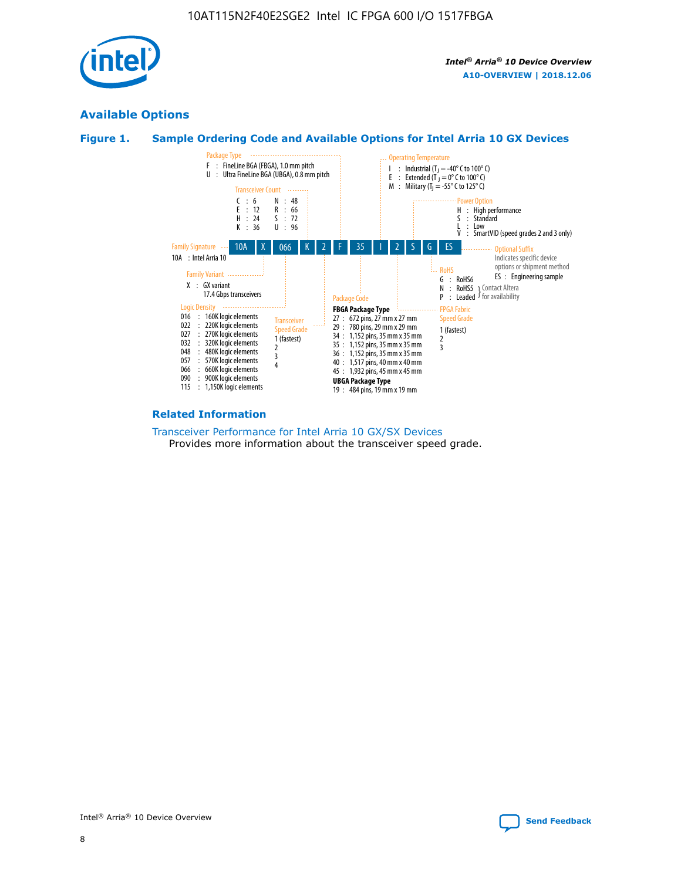

# **Available Options**





#### **Related Information**

[Transceiver Performance for Intel Arria 10 GX/SX Devices](https://www.intel.com/content/www/us/en/programmable/documentation/mcn1413182292568.html#mcn1413213965502) Provides more information about the transceiver speed grade.

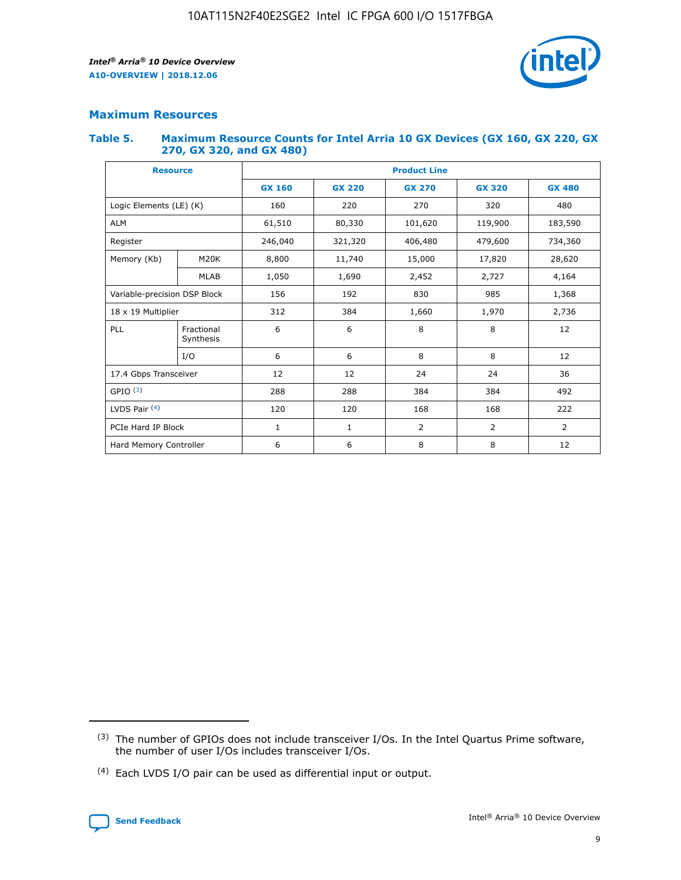

## **Maximum Resources**

#### **Table 5. Maximum Resource Counts for Intel Arria 10 GX Devices (GX 160, GX 220, GX 270, GX 320, and GX 480)**

| <b>Resource</b>              |                         | <b>Product Line</b> |                                                 |                |                |                |  |  |
|------------------------------|-------------------------|---------------------|-------------------------------------------------|----------------|----------------|----------------|--|--|
|                              |                         | <b>GX 160</b>       | <b>GX 220</b><br><b>GX 270</b><br><b>GX 320</b> |                |                | <b>GX 480</b>  |  |  |
| Logic Elements (LE) (K)      |                         | 160                 | 220                                             | 270            | 320            | 480            |  |  |
| <b>ALM</b>                   |                         | 61,510              | 80,330                                          | 101,620        | 119,900        | 183,590        |  |  |
| Register                     |                         | 246,040             | 406,480<br>321,320                              |                | 479,600        | 734,360        |  |  |
| Memory (Kb)                  | M <sub>20</sub> K       | 8,800               | 11,740                                          | 15,000         | 17,820         | 28,620         |  |  |
|                              | <b>MLAB</b>             | 1,050               | 1,690                                           | 2,452          | 2,727          | 4,164          |  |  |
| Variable-precision DSP Block |                         | 156                 | 192                                             | 830            | 985            | 1,368          |  |  |
| 18 x 19 Multiplier           |                         | 312                 | 384                                             | 1,970<br>1,660 |                | 2,736          |  |  |
| PLL                          | Fractional<br>Synthesis | 6                   | 6                                               | 8              | 8              | 12             |  |  |
|                              | I/O                     | 6                   | 6                                               | 8              | 8              | 12             |  |  |
| 17.4 Gbps Transceiver        |                         | 12                  | 12                                              | 24             | 24             | 36             |  |  |
| GPIO <sup>(3)</sup>          |                         | 288                 | 288                                             | 384<br>384     |                | 492            |  |  |
| LVDS Pair $(4)$              |                         | 120                 | 120                                             | 168            | 168            | 222            |  |  |
| PCIe Hard IP Block           |                         | 1                   | 1                                               | 2              | $\overline{2}$ | $\overline{2}$ |  |  |
| Hard Memory Controller       |                         | 6                   | 6                                               | 8              | 8              | 12             |  |  |

<sup>(4)</sup> Each LVDS I/O pair can be used as differential input or output.



<sup>(3)</sup> The number of GPIOs does not include transceiver I/Os. In the Intel Quartus Prime software, the number of user I/Os includes transceiver I/Os.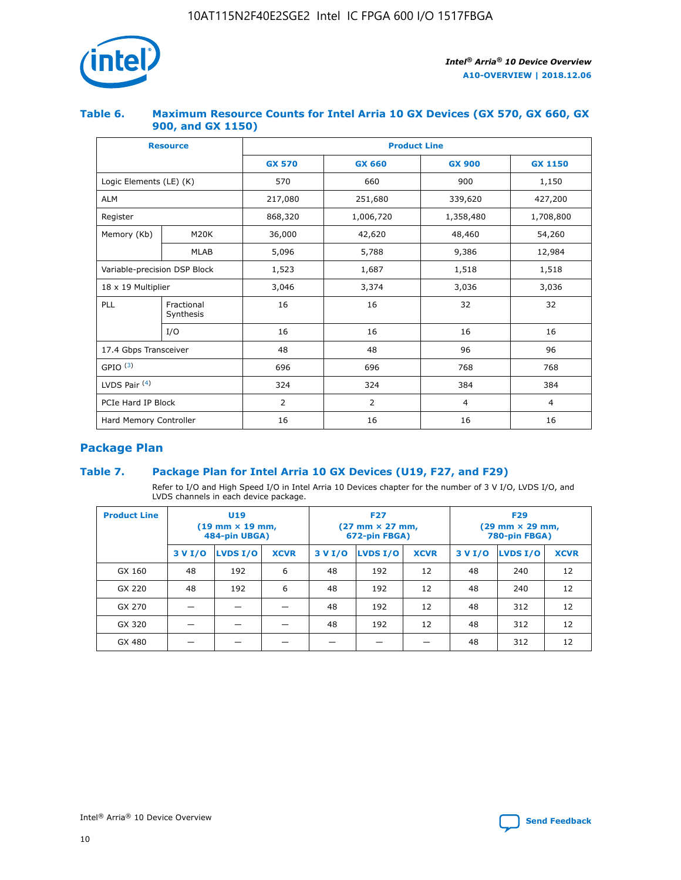

## **Table 6. Maximum Resource Counts for Intel Arria 10 GX Devices (GX 570, GX 660, GX 900, and GX 1150)**

|                              | <b>Resource</b>         | <b>Product Line</b> |                |                |                |  |  |  |
|------------------------------|-------------------------|---------------------|----------------|----------------|----------------|--|--|--|
|                              |                         | <b>GX 570</b>       | <b>GX 660</b>  | <b>GX 900</b>  | <b>GX 1150</b> |  |  |  |
| Logic Elements (LE) (K)      |                         | 570                 | 660            | 900            | 1,150          |  |  |  |
| <b>ALM</b>                   |                         | 217,080             | 251,680        | 339,620        | 427,200        |  |  |  |
| Register                     |                         | 868,320             | 1,006,720      |                | 1,708,800      |  |  |  |
| Memory (Kb)                  | <b>M20K</b>             | 36,000              | 42,620         | 48,460         | 54,260         |  |  |  |
|                              | <b>MLAB</b>             | 5,096               | 5,788          | 9,386          | 12,984         |  |  |  |
| Variable-precision DSP Block |                         | 1,523               | 1,687          | 1,518          | 1,518          |  |  |  |
| $18 \times 19$ Multiplier    |                         | 3,046               | 3,374          | 3,036          | 3,036          |  |  |  |
| PLL                          | Fractional<br>Synthesis | 16                  | 16             | 32             | 32             |  |  |  |
|                              | I/O                     | 16                  | 16             | 16             | 16             |  |  |  |
| 17.4 Gbps Transceiver        |                         | 48                  | 48<br>96       |                | 96             |  |  |  |
| GPIO <sup>(3)</sup>          |                         | 696                 | 696            | 768            | 768            |  |  |  |
| LVDS Pair $(4)$              |                         | 324                 | 324            | 384            | 384            |  |  |  |
| PCIe Hard IP Block           |                         | 2                   | $\overline{2}$ | $\overline{4}$ | 4              |  |  |  |
| Hard Memory Controller       |                         | 16                  | 16             | 16             | 16             |  |  |  |

# **Package Plan**

# **Table 7. Package Plan for Intel Arria 10 GX Devices (U19, F27, and F29)**

Refer to I/O and High Speed I/O in Intel Arria 10 Devices chapter for the number of 3 V I/O, LVDS I/O, and LVDS channels in each device package.

| <b>Product Line</b> | <b>U19</b><br>$(19 \text{ mm} \times 19 \text{ mm})$<br>484-pin UBGA) |          |             |         | <b>F27</b><br>(27 mm × 27 mm,<br>672-pin FBGA) |             | <b>F29</b><br>(29 mm × 29 mm,<br>780-pin FBGA) |          |             |  |
|---------------------|-----------------------------------------------------------------------|----------|-------------|---------|------------------------------------------------|-------------|------------------------------------------------|----------|-------------|--|
|                     | 3 V I/O                                                               | LVDS I/O | <b>XCVR</b> | 3 V I/O | LVDS I/O                                       | <b>XCVR</b> | 3 V I/O                                        | LVDS I/O | <b>XCVR</b> |  |
| GX 160              | 48                                                                    | 192      | 6           | 48      | 192                                            | 12          | 48                                             | 240      | 12          |  |
| GX 220              | 48                                                                    | 192      | 6           | 48      | 192                                            | 12          | 48                                             | 240      | 12          |  |
| GX 270              |                                                                       |          |             | 48      | 192                                            | 12          | 48                                             | 312      | 12          |  |
| GX 320              |                                                                       |          |             | 48      | 192                                            | 12          | 48                                             | 312      | 12          |  |
| GX 480              |                                                                       |          |             |         |                                                |             | 48                                             | 312      | 12          |  |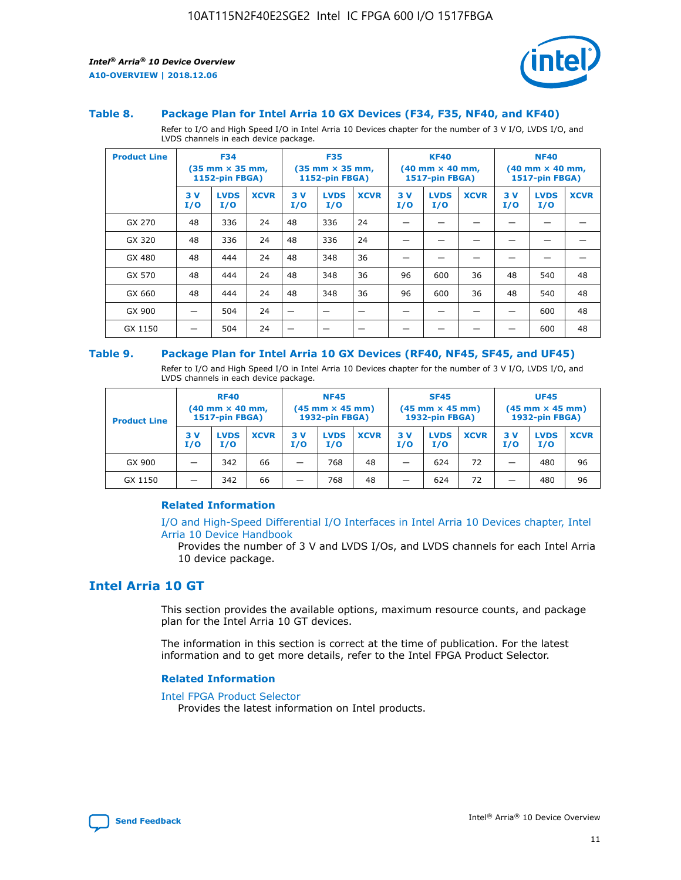

#### **Table 8. Package Plan for Intel Arria 10 GX Devices (F34, F35, NF40, and KF40)**

Refer to I/O and High Speed I/O in Intel Arria 10 Devices chapter for the number of 3 V I/O, LVDS I/O, and LVDS channels in each device package.

| <b>Product Line</b> | <b>F34</b><br>(35 mm × 35 mm,<br><b>1152-pin FBGA)</b> |                    | <b>F35</b><br>$(35$ mm $\times$ 35 mm,<br><b>1152-pin FBGA)</b> |           | <b>KF40</b><br>$(40 \text{ mm} \times 40 \text{ mm})$<br>1517-pin FBGA) |             |           | <b>NF40</b><br>$(40 \text{ mm} \times 40 \text{ mm})$<br><b>1517-pin FBGA)</b> |             |           |                    |             |
|---------------------|--------------------------------------------------------|--------------------|-----------------------------------------------------------------|-----------|-------------------------------------------------------------------------|-------------|-----------|--------------------------------------------------------------------------------|-------------|-----------|--------------------|-------------|
|                     | 3V<br>I/O                                              | <b>LVDS</b><br>I/O | <b>XCVR</b>                                                     | 3V<br>I/O | <b>LVDS</b><br>I/O                                                      | <b>XCVR</b> | 3V<br>I/O | <b>LVDS</b><br>I/O                                                             | <b>XCVR</b> | 3V<br>I/O | <b>LVDS</b><br>I/O | <b>XCVR</b> |
| GX 270              | 48                                                     | 336                | 24                                                              | 48        | 336                                                                     | 24          |           |                                                                                |             |           |                    |             |
| GX 320              | 48                                                     | 336                | 24                                                              | 48        | 336                                                                     | 24          |           |                                                                                |             |           |                    |             |
| GX 480              | 48                                                     | 444                | 24                                                              | 48        | 348                                                                     | 36          |           |                                                                                |             |           |                    |             |
| GX 570              | 48                                                     | 444                | 24                                                              | 48        | 348                                                                     | 36          | 96        | 600                                                                            | 36          | 48        | 540                | 48          |
| GX 660              | 48                                                     | 444                | 24                                                              | 48        | 348                                                                     | 36          | 96        | 600                                                                            | 36          | 48        | 540                | 48          |
| GX 900              |                                                        | 504                | 24                                                              | -         |                                                                         | -           |           |                                                                                |             |           | 600                | 48          |
| GX 1150             |                                                        | 504                | 24                                                              |           |                                                                         |             |           |                                                                                |             |           | 600                | 48          |

#### **Table 9. Package Plan for Intel Arria 10 GX Devices (RF40, NF45, SF45, and UF45)**

Refer to I/O and High Speed I/O in Intel Arria 10 Devices chapter for the number of 3 V I/O, LVDS I/O, and LVDS channels in each device package.

| <b>Product Line</b> | <b>RF40</b><br>$(40$ mm $\times$ 40 mm,<br>1517-pin FBGA) |                    |             | <b>NF45</b><br>$(45 \text{ mm} \times 45 \text{ mm})$<br><b>1932-pin FBGA)</b> |                    |             | <b>SF45</b><br>$(45 \text{ mm} \times 45 \text{ mm})$<br><b>1932-pin FBGA)</b> |                    |             | <b>UF45</b><br>$(45 \text{ mm} \times 45 \text{ mm})$<br><b>1932-pin FBGA)</b> |                    |             |
|---------------------|-----------------------------------------------------------|--------------------|-------------|--------------------------------------------------------------------------------|--------------------|-------------|--------------------------------------------------------------------------------|--------------------|-------------|--------------------------------------------------------------------------------|--------------------|-------------|
|                     | 3V<br>I/O                                                 | <b>LVDS</b><br>I/O | <b>XCVR</b> | 3 V<br>I/O                                                                     | <b>LVDS</b><br>I/O | <b>XCVR</b> | 3 V<br>I/O                                                                     | <b>LVDS</b><br>I/O | <b>XCVR</b> | 3V<br>I/O                                                                      | <b>LVDS</b><br>I/O | <b>XCVR</b> |
| GX 900              |                                                           | 342                | 66          | _                                                                              | 768                | 48          |                                                                                | 624                | 72          |                                                                                | 480                | 96          |
| GX 1150             |                                                           | 342                | 66          | _                                                                              | 768                | 48          |                                                                                | 624                | 72          |                                                                                | 480                | 96          |

## **Related Information**

[I/O and High-Speed Differential I/O Interfaces in Intel Arria 10 Devices chapter, Intel](https://www.intel.com/content/www/us/en/programmable/documentation/sam1403482614086.html#sam1403482030321) [Arria 10 Device Handbook](https://www.intel.com/content/www/us/en/programmable/documentation/sam1403482614086.html#sam1403482030321)

Provides the number of 3 V and LVDS I/Os, and LVDS channels for each Intel Arria 10 device package.

# **Intel Arria 10 GT**

This section provides the available options, maximum resource counts, and package plan for the Intel Arria 10 GT devices.

The information in this section is correct at the time of publication. For the latest information and to get more details, refer to the Intel FPGA Product Selector.

#### **Related Information**

#### [Intel FPGA Product Selector](http://www.altera.com/products/selector/psg-selector.html)

Provides the latest information on Intel products.

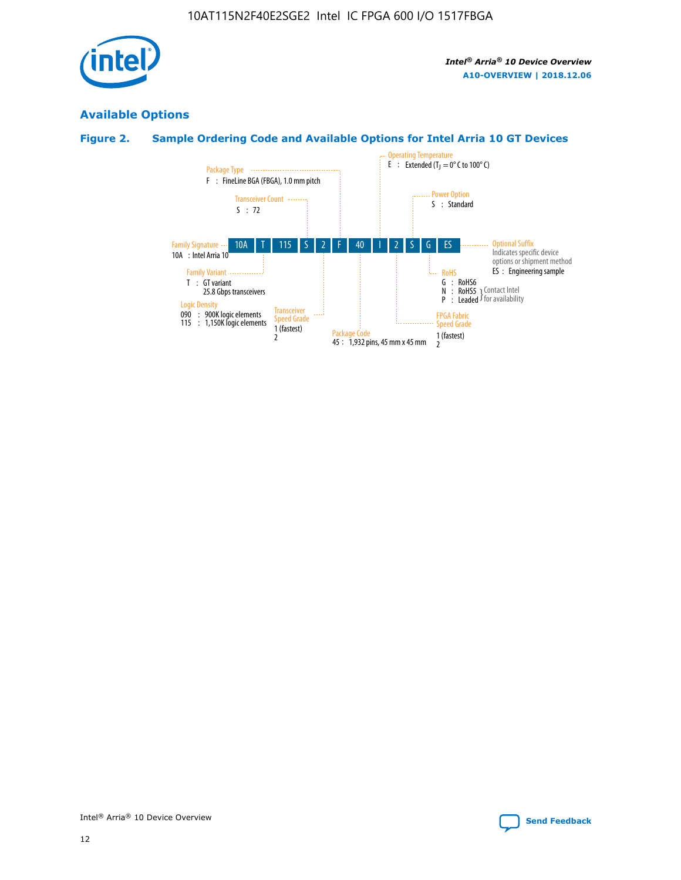

# **Available Options**

# **Figure 2. Sample Ordering Code and Available Options for Intel Arria 10 GT Devices**

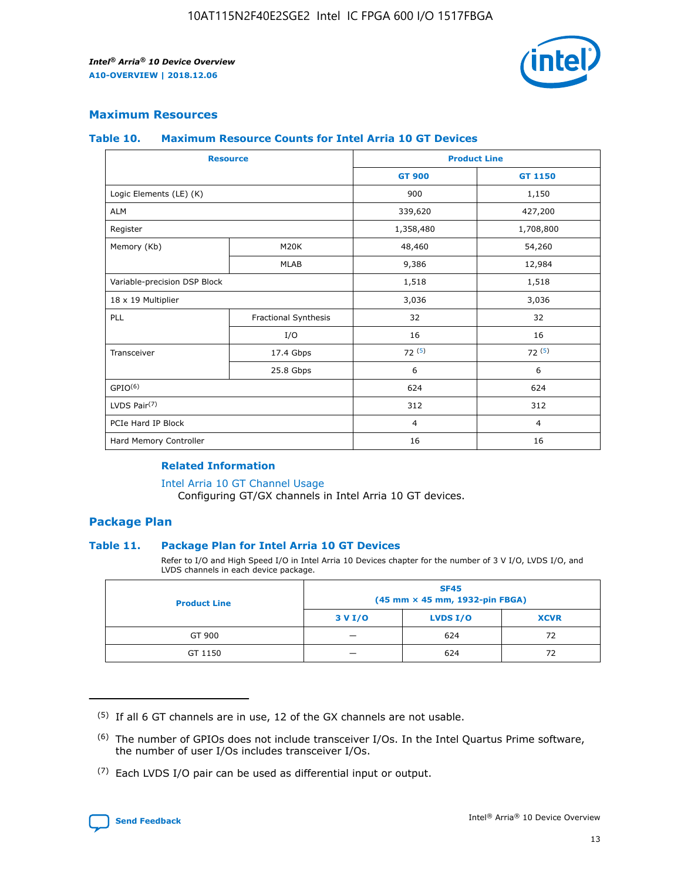

# **Maximum Resources**

#### **Table 10. Maximum Resource Counts for Intel Arria 10 GT Devices**

| <b>Resource</b>              |                      |                | <b>Product Line</b> |  |
|------------------------------|----------------------|----------------|---------------------|--|
|                              |                      | <b>GT 900</b>  | GT 1150             |  |
| Logic Elements (LE) (K)      |                      | 900            | 1,150               |  |
| <b>ALM</b>                   |                      | 339,620        | 427,200             |  |
| Register                     |                      | 1,358,480      | 1,708,800           |  |
| Memory (Kb)                  | M20K                 | 48,460         | 54,260              |  |
|                              | <b>MLAB</b>          | 9,386          | 12,984              |  |
| Variable-precision DSP Block |                      | 1,518          | 1,518               |  |
| 18 x 19 Multiplier           |                      | 3,036          | 3,036               |  |
| PLL                          | Fractional Synthesis | 32             | 32                  |  |
|                              | I/O                  | 16             | 16                  |  |
| Transceiver                  | 17.4 Gbps            | 72(5)          | 72(5)               |  |
|                              | 25.8 Gbps            | 6              | 6                   |  |
| GPIO <sup>(6)</sup>          |                      | 624            | 624                 |  |
| LVDS Pair $(7)$              |                      | 312            | 312                 |  |
| PCIe Hard IP Block           |                      | $\overline{4}$ | $\overline{4}$      |  |
| Hard Memory Controller       |                      | 16             | 16                  |  |

#### **Related Information**

#### [Intel Arria 10 GT Channel Usage](https://www.intel.com/content/www/us/en/programmable/documentation/nik1398707230472.html#nik1398707008178)

Configuring GT/GX channels in Intel Arria 10 GT devices.

## **Package Plan**

## **Table 11. Package Plan for Intel Arria 10 GT Devices**

Refer to I/O and High Speed I/O in Intel Arria 10 Devices chapter for the number of 3 V I/O, LVDS I/O, and LVDS channels in each device package.

| <b>Product Line</b> | <b>SF45</b><br>(45 mm × 45 mm, 1932-pin FBGA) |                 |             |  |  |  |
|---------------------|-----------------------------------------------|-----------------|-------------|--|--|--|
|                     | 3 V I/O                                       | <b>LVDS I/O</b> | <b>XCVR</b> |  |  |  |
| GT 900              |                                               | 624             | 72          |  |  |  |
| GT 1150             |                                               | 624             | 72          |  |  |  |

<sup>(7)</sup> Each LVDS I/O pair can be used as differential input or output.



 $(5)$  If all 6 GT channels are in use, 12 of the GX channels are not usable.

<sup>(6)</sup> The number of GPIOs does not include transceiver I/Os. In the Intel Quartus Prime software, the number of user I/Os includes transceiver I/Os.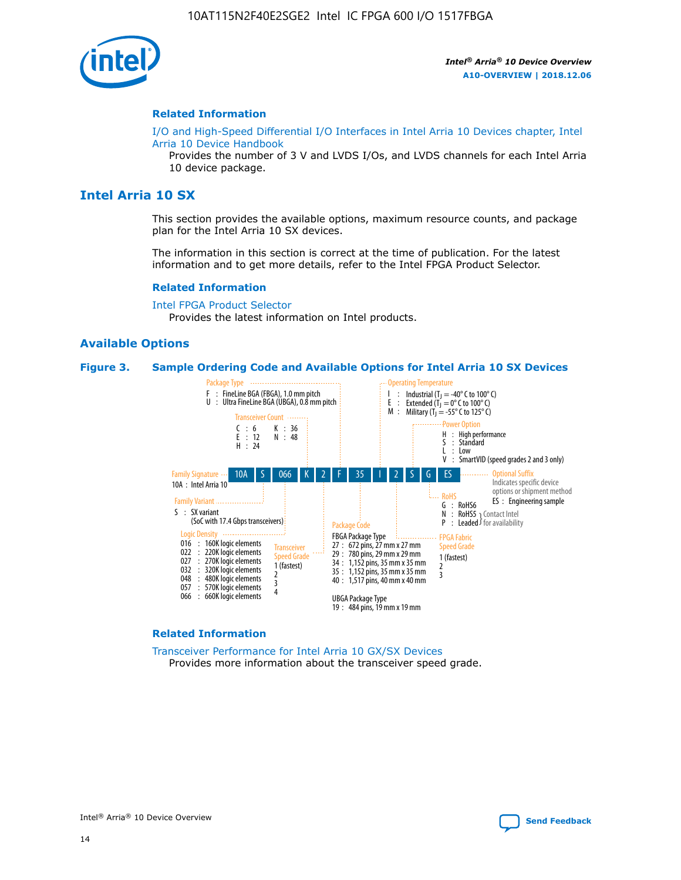

#### **Related Information**

[I/O and High-Speed Differential I/O Interfaces in Intel Arria 10 Devices chapter, Intel](https://www.intel.com/content/www/us/en/programmable/documentation/sam1403482614086.html#sam1403482030321) [Arria 10 Device Handbook](https://www.intel.com/content/www/us/en/programmable/documentation/sam1403482614086.html#sam1403482030321)

Provides the number of 3 V and LVDS I/Os, and LVDS channels for each Intel Arria 10 device package.

# **Intel Arria 10 SX**

This section provides the available options, maximum resource counts, and package plan for the Intel Arria 10 SX devices.

The information in this section is correct at the time of publication. For the latest information and to get more details, refer to the Intel FPGA Product Selector.

#### **Related Information**

[Intel FPGA Product Selector](http://www.altera.com/products/selector/psg-selector.html) Provides the latest information on Intel products.

## **Available Options**

#### **Figure 3. Sample Ordering Code and Available Options for Intel Arria 10 SX Devices**



#### **Related Information**

[Transceiver Performance for Intel Arria 10 GX/SX Devices](https://www.intel.com/content/www/us/en/programmable/documentation/mcn1413182292568.html#mcn1413213965502) Provides more information about the transceiver speed grade.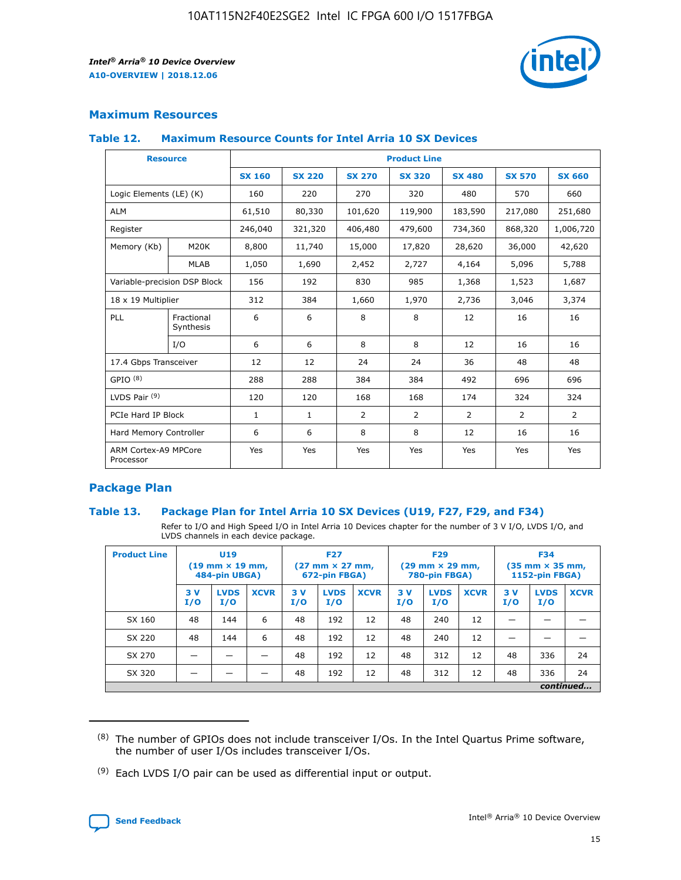

# **Maximum Resources**

#### **Table 12. Maximum Resource Counts for Intel Arria 10 SX Devices**

|                                   | <b>Resource</b>         | <b>Product Line</b> |               |                |                |                |                |                |  |  |  |
|-----------------------------------|-------------------------|---------------------|---------------|----------------|----------------|----------------|----------------|----------------|--|--|--|
|                                   |                         | <b>SX 160</b>       | <b>SX 220</b> | <b>SX 270</b>  | <b>SX 320</b>  | <b>SX 480</b>  | <b>SX 570</b>  | <b>SX 660</b>  |  |  |  |
| Logic Elements (LE) (K)           |                         | 160                 | 220           | 270            | 320            | 480            | 570            | 660            |  |  |  |
| <b>ALM</b>                        |                         | 61,510              | 80,330        | 101,620        | 119,900        | 183,590        | 217,080        | 251,680        |  |  |  |
| Register                          |                         | 246,040             | 321,320       | 406,480        | 479,600        | 734,360        | 868,320        | 1,006,720      |  |  |  |
| Memory (Kb)                       | <b>M20K</b>             | 8,800               | 11,740        | 15,000         | 17,820         | 28,620         | 36,000         | 42,620         |  |  |  |
|                                   | <b>MLAB</b>             | 1,050               | 1,690         | 2,452          | 2,727          | 4,164          | 5,096          | 5,788          |  |  |  |
| Variable-precision DSP Block      |                         | 156                 | 192           | 830            | 985            | 1,368          | 1,523          | 1,687          |  |  |  |
| 18 x 19 Multiplier                |                         | 312                 | 384           | 1,660          | 1,970          | 2,736          | 3,046          | 3,374          |  |  |  |
| <b>PLL</b>                        | Fractional<br>Synthesis | 6                   | 6             | 8              | 8              | 12             | 16             | 16             |  |  |  |
|                                   | I/O                     | 6                   | 6             | 8              | 8              | 12             | 16             | 16             |  |  |  |
| 17.4 Gbps Transceiver             |                         | 12                  | 12            | 24             | 24             | 36             | 48             | 48             |  |  |  |
| GPIO <sup>(8)</sup>               |                         | 288                 | 288           | 384            | 384            | 492            | 696            | 696            |  |  |  |
| LVDS Pair $(9)$                   |                         | 120                 | 120           | 168            | 168            | 174            | 324            | 324            |  |  |  |
| PCIe Hard IP Block                |                         | $\mathbf{1}$        | $\mathbf{1}$  | $\overline{2}$ | $\overline{2}$ | $\overline{2}$ | $\overline{2}$ | $\overline{2}$ |  |  |  |
| Hard Memory Controller            |                         | 6                   | 6             | 8              | 8              | 12             | 16             | 16             |  |  |  |
| ARM Cortex-A9 MPCore<br>Processor |                         | Yes                 | Yes           | Yes            | Yes            | Yes            | Yes            | Yes            |  |  |  |

# **Package Plan**

## **Table 13. Package Plan for Intel Arria 10 SX Devices (U19, F27, F29, and F34)**

Refer to I/O and High Speed I/O in Intel Arria 10 Devices chapter for the number of 3 V I/O, LVDS I/O, and LVDS channels in each device package.

| <b>Product Line</b> | U19<br>$(19 \text{ mm} \times 19 \text{ mm})$<br>484-pin UBGA) |                    |             | <b>F27</b><br>$(27 \text{ mm} \times 27 \text{ mm})$ .<br>672-pin FBGA) |                    | <b>F29</b><br>$(29 \text{ mm} \times 29 \text{ mm})$ .<br>780-pin FBGA) |            |                    | <b>F34</b><br>$(35 \text{ mm} \times 35 \text{ mm})$<br><b>1152-pin FBGA)</b> |           |                    |             |
|---------------------|----------------------------------------------------------------|--------------------|-------------|-------------------------------------------------------------------------|--------------------|-------------------------------------------------------------------------|------------|--------------------|-------------------------------------------------------------------------------|-----------|--------------------|-------------|
|                     | 3V<br>I/O                                                      | <b>LVDS</b><br>I/O | <b>XCVR</b> | 3V<br>I/O                                                               | <b>LVDS</b><br>I/O | <b>XCVR</b>                                                             | 3 V<br>I/O | <b>LVDS</b><br>I/O | <b>XCVR</b>                                                                   | 3V<br>I/O | <b>LVDS</b><br>I/O | <b>XCVR</b> |
| SX 160              | 48                                                             | 144                | 6           | 48                                                                      | 192                | 12                                                                      | 48         | 240                | 12                                                                            |           |                    |             |
| SX 220              | 48                                                             | 144                | 6           | 48                                                                      | 192                | 12                                                                      | 48         | 240                | 12                                                                            |           |                    |             |
| SX 270              |                                                                |                    |             | 48                                                                      | 192                | 12                                                                      | 48         | 312                | 12                                                                            | 48        | 336                | 24          |
| SX 320              |                                                                |                    |             | 48                                                                      | 192                | 12                                                                      | 48         | 312                | 12                                                                            | 48        | 336                | 24          |
|                     | continued                                                      |                    |             |                                                                         |                    |                                                                         |            |                    |                                                                               |           |                    |             |

 $(8)$  The number of GPIOs does not include transceiver I/Os. In the Intel Quartus Prime software, the number of user I/Os includes transceiver I/Os.

 $(9)$  Each LVDS I/O pair can be used as differential input or output.

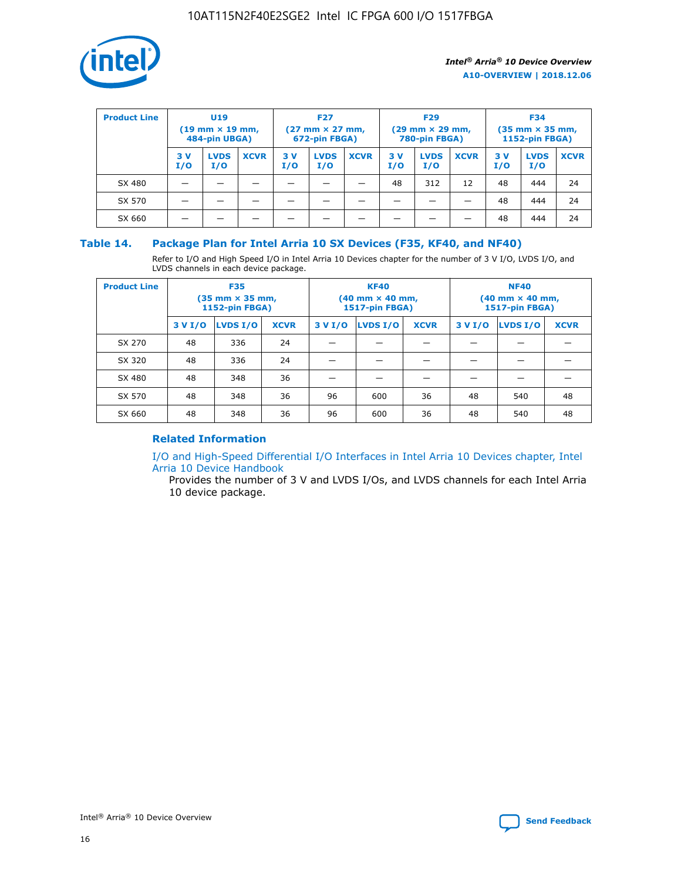

| <b>Product Line</b> | U <sub>19</sub><br>$(19 \text{ mm} \times 19 \text{ mm})$<br>484-pin UBGA) |                    | <b>F27</b><br>$(27 \text{ mm} \times 27 \text{ mm})$<br>672-pin FBGA) |            | <b>F29</b><br>$(29 \text{ mm} \times 29 \text{ mm})$<br>780-pin FBGA) |             |           | <b>F34</b><br>$(35$ mm $\times$ 35 mm,<br><b>1152-pin FBGA)</b> |             |           |                    |             |
|---------------------|----------------------------------------------------------------------------|--------------------|-----------------------------------------------------------------------|------------|-----------------------------------------------------------------------|-------------|-----------|-----------------------------------------------------------------|-------------|-----------|--------------------|-------------|
|                     | 3V<br>I/O                                                                  | <b>LVDS</b><br>I/O | <b>XCVR</b>                                                           | 3 V<br>I/O | <b>LVDS</b><br>I/O                                                    | <b>XCVR</b> | 3V<br>I/O | <b>LVDS</b><br>I/O                                              | <b>XCVR</b> | 3V<br>I/O | <b>LVDS</b><br>I/O | <b>XCVR</b> |
| SX 480              |                                                                            |                    |                                                                       |            |                                                                       |             | 48        | 312                                                             | 12          | 48        | 444                | 24          |
| SX 570              |                                                                            |                    |                                                                       |            |                                                                       |             |           |                                                                 |             | 48        | 444                | 24          |
| SX 660              |                                                                            |                    |                                                                       |            |                                                                       |             |           |                                                                 |             | 48        | 444                | 24          |

## **Table 14. Package Plan for Intel Arria 10 SX Devices (F35, KF40, and NF40)**

Refer to I/O and High Speed I/O in Intel Arria 10 Devices chapter for the number of 3 V I/O, LVDS I/O, and LVDS channels in each device package.

| <b>Product Line</b> | <b>F35</b><br>(35 mm × 35 mm,<br><b>1152-pin FBGA)</b> |          |             |                                           | <b>KF40</b><br>(40 mm × 40 mm,<br>1517-pin FBGA) |    | <b>NF40</b><br>$(40 \text{ mm} \times 40 \text{ mm})$<br><b>1517-pin FBGA)</b> |          |             |  |
|---------------------|--------------------------------------------------------|----------|-------------|-------------------------------------------|--------------------------------------------------|----|--------------------------------------------------------------------------------|----------|-------------|--|
|                     | 3 V I/O                                                | LVDS I/O | <b>XCVR</b> | <b>LVDS I/O</b><br><b>XCVR</b><br>3 V I/O |                                                  |    | 3 V I/O                                                                        | LVDS I/O | <b>XCVR</b> |  |
| SX 270              | 48                                                     | 336      | 24          |                                           |                                                  |    |                                                                                |          |             |  |
| SX 320              | 48                                                     | 336      | 24          |                                           |                                                  |    |                                                                                |          |             |  |
| SX 480              | 48                                                     | 348      | 36          |                                           |                                                  |    |                                                                                |          |             |  |
| SX 570              | 48                                                     | 348      | 36          | 96<br>36<br>600                           |                                                  | 48 | 540                                                                            | 48       |             |  |
| SX 660              | 48                                                     | 348      | 36          | 96                                        | 600                                              | 36 | 48                                                                             | 540      | 48          |  |

# **Related Information**

[I/O and High-Speed Differential I/O Interfaces in Intel Arria 10 Devices chapter, Intel](https://www.intel.com/content/www/us/en/programmable/documentation/sam1403482614086.html#sam1403482030321) [Arria 10 Device Handbook](https://www.intel.com/content/www/us/en/programmable/documentation/sam1403482614086.html#sam1403482030321)

Provides the number of 3 V and LVDS I/Os, and LVDS channels for each Intel Arria 10 device package.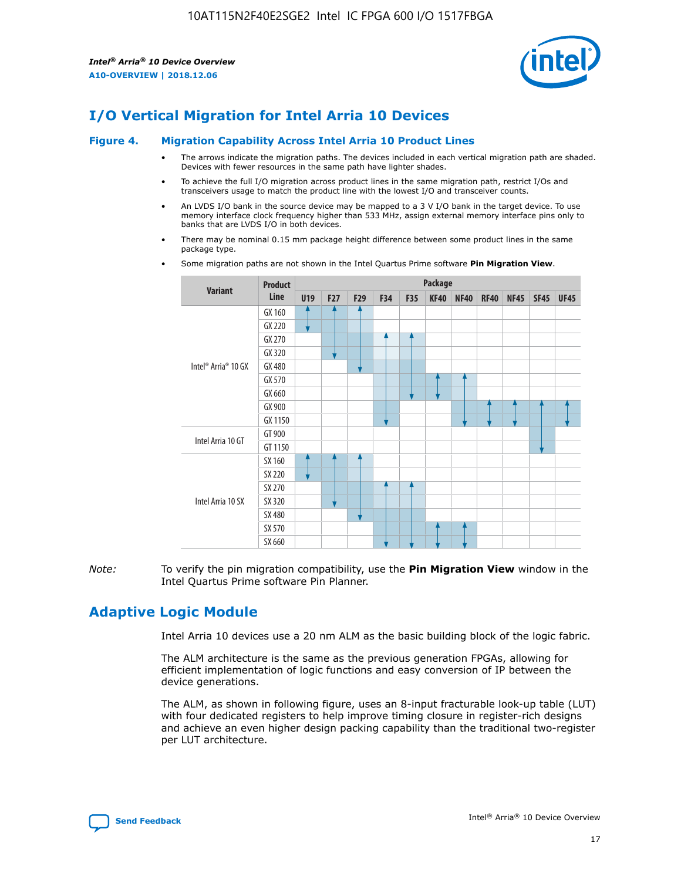

# **I/O Vertical Migration for Intel Arria 10 Devices**

#### **Figure 4. Migration Capability Across Intel Arria 10 Product Lines**

- The arrows indicate the migration paths. The devices included in each vertical migration path are shaded. Devices with fewer resources in the same path have lighter shades.
- To achieve the full I/O migration across product lines in the same migration path, restrict I/Os and transceivers usage to match the product line with the lowest I/O and transceiver counts.
- An LVDS I/O bank in the source device may be mapped to a 3 V I/O bank in the target device. To use memory interface clock frequency higher than 533 MHz, assign external memory interface pins only to banks that are LVDS I/O in both devices.
- There may be nominal 0.15 mm package height difference between some product lines in the same package type.
	- **Variant Product Line Package U19 F27 F29 F34 F35 KF40 NF40 RF40 NF45 SF45 UF45** Intel® Arria® 10 GX GX 160 GX 220 GX 270 GX 320 GX 480 GX 570 GX 660 GX 900 GX 1150 Intel Arria 10 GT GT 900 GT 1150 Intel Arria 10 SX SX 160 SX 220 SX 270 SX 320 SX 480 SX 570 SX 660
- Some migration paths are not shown in the Intel Quartus Prime software **Pin Migration View**.

*Note:* To verify the pin migration compatibility, use the **Pin Migration View** window in the Intel Quartus Prime software Pin Planner.

# **Adaptive Logic Module**

Intel Arria 10 devices use a 20 nm ALM as the basic building block of the logic fabric.

The ALM architecture is the same as the previous generation FPGAs, allowing for efficient implementation of logic functions and easy conversion of IP between the device generations.

The ALM, as shown in following figure, uses an 8-input fracturable look-up table (LUT) with four dedicated registers to help improve timing closure in register-rich designs and achieve an even higher design packing capability than the traditional two-register per LUT architecture.

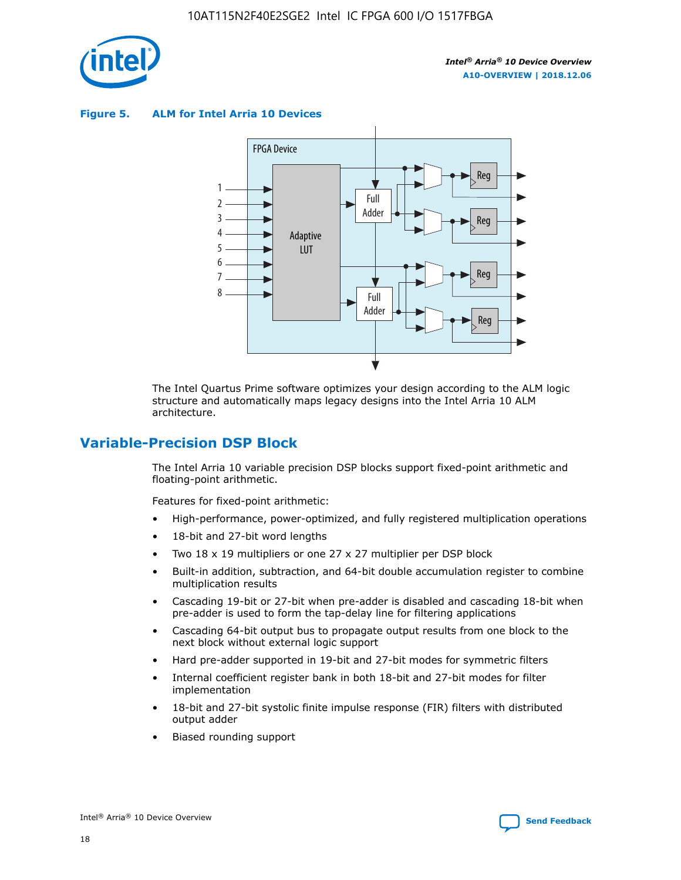

**Figure 5. ALM for Intel Arria 10 Devices**



The Intel Quartus Prime software optimizes your design according to the ALM logic structure and automatically maps legacy designs into the Intel Arria 10 ALM architecture.

# **Variable-Precision DSP Block**

The Intel Arria 10 variable precision DSP blocks support fixed-point arithmetic and floating-point arithmetic.

Features for fixed-point arithmetic:

- High-performance, power-optimized, and fully registered multiplication operations
- 18-bit and 27-bit word lengths
- Two 18 x 19 multipliers or one 27 x 27 multiplier per DSP block
- Built-in addition, subtraction, and 64-bit double accumulation register to combine multiplication results
- Cascading 19-bit or 27-bit when pre-adder is disabled and cascading 18-bit when pre-adder is used to form the tap-delay line for filtering applications
- Cascading 64-bit output bus to propagate output results from one block to the next block without external logic support
- Hard pre-adder supported in 19-bit and 27-bit modes for symmetric filters
- Internal coefficient register bank in both 18-bit and 27-bit modes for filter implementation
- 18-bit and 27-bit systolic finite impulse response (FIR) filters with distributed output adder
- Biased rounding support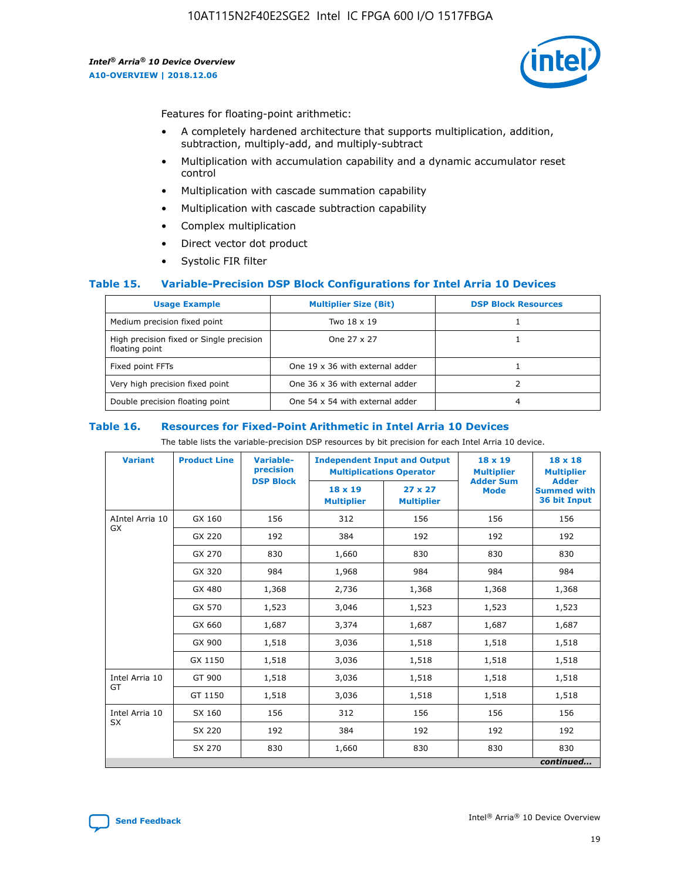

Features for floating-point arithmetic:

- A completely hardened architecture that supports multiplication, addition, subtraction, multiply-add, and multiply-subtract
- Multiplication with accumulation capability and a dynamic accumulator reset control
- Multiplication with cascade summation capability
- Multiplication with cascade subtraction capability
- Complex multiplication
- Direct vector dot product
- Systolic FIR filter

## **Table 15. Variable-Precision DSP Block Configurations for Intel Arria 10 Devices**

| <b>Usage Example</b>                                       | <b>Multiplier Size (Bit)</b>    | <b>DSP Block Resources</b> |
|------------------------------------------------------------|---------------------------------|----------------------------|
| Medium precision fixed point                               | Two 18 x 19                     |                            |
| High precision fixed or Single precision<br>floating point | One 27 x 27                     |                            |
| Fixed point FFTs                                           | One 19 x 36 with external adder |                            |
| Very high precision fixed point                            | One 36 x 36 with external adder |                            |
| Double precision floating point                            | One 54 x 54 with external adder | 4                          |

#### **Table 16. Resources for Fixed-Point Arithmetic in Intel Arria 10 Devices**

The table lists the variable-precision DSP resources by bit precision for each Intel Arria 10 device.

| <b>Variant</b>        | <b>Product Line</b> | Variable-<br>precision<br><b>DSP Block</b> | <b>Independent Input and Output</b><br><b>Multiplications Operator</b> |                                     | 18 x 19<br><b>Multiplier</b><br><b>Adder Sum</b> | $18 \times 18$<br><b>Multiplier</b><br><b>Adder</b> |
|-----------------------|---------------------|--------------------------------------------|------------------------------------------------------------------------|-------------------------------------|--------------------------------------------------|-----------------------------------------------------|
|                       |                     |                                            | 18 x 19<br><b>Multiplier</b>                                           | $27 \times 27$<br><b>Multiplier</b> | <b>Mode</b>                                      | <b>Summed with</b><br>36 bit Input                  |
| AIntel Arria 10<br>GX | GX 160              | 156                                        | 312                                                                    | 156                                 | 156                                              | 156                                                 |
|                       | GX 220              | 192                                        | 384                                                                    | 192                                 | 192                                              | 192                                                 |
|                       | GX 270              | 830                                        | 1,660                                                                  | 830                                 | 830                                              | 830                                                 |
|                       | GX 320              | 984                                        | 1,968                                                                  | 984                                 | 984                                              | 984                                                 |
|                       | GX 480              | 1,368                                      | 2,736                                                                  | 1,368                               | 1,368                                            | 1,368                                               |
|                       | GX 570              | 1,523                                      | 3,046                                                                  | 1,523                               | 1,523                                            | 1,523                                               |
|                       | GX 660              | 1,687                                      | 3,374                                                                  | 1,687                               | 1,687                                            | 1,687                                               |
|                       | GX 900              | 1,518                                      | 3,036                                                                  | 1,518                               | 1,518                                            | 1,518                                               |
|                       | GX 1150             | 1,518                                      | 3,036                                                                  | 1,518                               | 1,518                                            | 1,518                                               |
| Intel Arria 10        | GT 900              | 1,518                                      | 3,036                                                                  | 1,518                               | 1,518                                            | 1,518                                               |
| GT                    | GT 1150             | 1,518                                      | 3,036                                                                  | 1,518                               | 1,518                                            | 1,518                                               |
| Intel Arria 10        | SX 160              | 156                                        | 312                                                                    | 156                                 | 156                                              | 156                                                 |
| <b>SX</b>             | SX 220              | 192                                        | 384                                                                    | 192                                 | 192                                              | 192                                                 |
|                       | SX 270              | 830                                        | 1,660                                                                  | 830                                 | 830                                              | 830                                                 |
|                       |                     |                                            |                                                                        |                                     |                                                  | continued                                           |

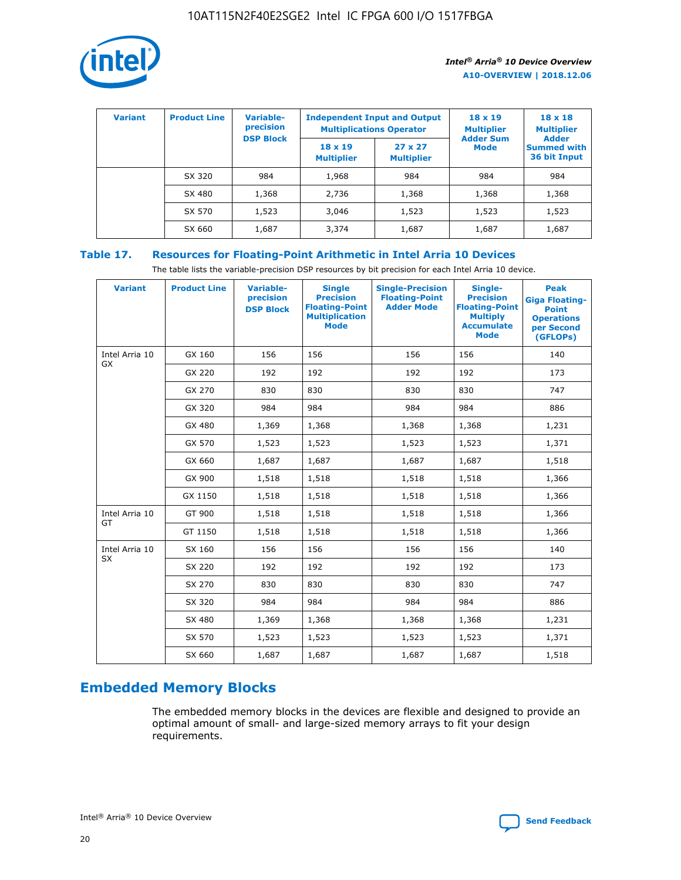

| <b>Variant</b> | <b>Product Line</b> | <b>Variable-</b><br>precision |                                     | <b>Independent Input and Output</b><br><b>Multiplications Operator</b> | $18 \times 19$<br><b>Multiplier</b> | $18 \times 18$<br><b>Multiplier</b><br><b>Adder</b> |  |
|----------------|---------------------|-------------------------------|-------------------------------------|------------------------------------------------------------------------|-------------------------------------|-----------------------------------------------------|--|
|                |                     | <b>DSP Block</b>              | $18 \times 19$<br><b>Multiplier</b> | $27 \times 27$<br><b>Multiplier</b>                                    | <b>Adder Sum</b><br>Mode            | <b>Summed with</b><br>36 bit Input                  |  |
|                | SX 320              | 984                           | 1,968                               | 984                                                                    | 984                                 | 984                                                 |  |
|                | SX 480              | 1,368                         | 2,736                               | 1,368                                                                  | 1,368                               | 1,368                                               |  |
|                | SX 570              | 1,523                         | 3,046                               | 1,523                                                                  | 1,523                               | 1,523                                               |  |
|                | SX 660              | 1,687                         | 3,374                               | 1,687                                                                  | 1,687                               | 1,687                                               |  |

# **Table 17. Resources for Floating-Point Arithmetic in Intel Arria 10 Devices**

The table lists the variable-precision DSP resources by bit precision for each Intel Arria 10 device.

| <b>Variant</b> | <b>Product Line</b> | <b>Variable-</b><br>precision<br><b>DSP Block</b> | <b>Single</b><br><b>Precision</b><br><b>Floating-Point</b><br><b>Multiplication</b><br><b>Mode</b> | <b>Single-Precision</b><br><b>Floating-Point</b><br><b>Adder Mode</b> | Single-<br><b>Precision</b><br><b>Floating-Point</b><br><b>Multiply</b><br><b>Accumulate</b><br><b>Mode</b> | <b>Peak</b><br><b>Giga Floating-</b><br><b>Point</b><br><b>Operations</b><br>per Second<br>(GFLOPs) |
|----------------|---------------------|---------------------------------------------------|----------------------------------------------------------------------------------------------------|-----------------------------------------------------------------------|-------------------------------------------------------------------------------------------------------------|-----------------------------------------------------------------------------------------------------|
| Intel Arria 10 | GX 160              | 156                                               | 156                                                                                                | 156                                                                   | 156                                                                                                         | 140                                                                                                 |
| GX             | GX 220              | 192                                               | 192                                                                                                | 192                                                                   | 192                                                                                                         | 173                                                                                                 |
|                | GX 270              | 830                                               | 830                                                                                                | 830                                                                   | 830                                                                                                         | 747                                                                                                 |
|                | GX 320              | 984                                               | 984                                                                                                | 984                                                                   | 984                                                                                                         | 886                                                                                                 |
|                | GX 480              | 1,369                                             | 1,368                                                                                              | 1,368                                                                 | 1,368                                                                                                       | 1,231                                                                                               |
|                | GX 570              | 1,523                                             | 1,523                                                                                              | 1,523                                                                 | 1,523                                                                                                       | 1,371                                                                                               |
|                | GX 660              | 1,687                                             | 1,687                                                                                              | 1,687                                                                 | 1,687                                                                                                       | 1,518                                                                                               |
|                | GX 900              | 1,518                                             | 1,518                                                                                              | 1,518                                                                 | 1,518                                                                                                       | 1,366                                                                                               |
|                | GX 1150             | 1,518                                             | 1,518                                                                                              | 1,518                                                                 | 1,518                                                                                                       | 1,366                                                                                               |
| Intel Arria 10 | GT 900              | 1,518                                             | 1,518                                                                                              | 1,518                                                                 | 1,518                                                                                                       | 1,366                                                                                               |
| GT             | GT 1150             | 1,518                                             | 1,518                                                                                              | 1,518                                                                 | 1,518                                                                                                       | 1,366                                                                                               |
| Intel Arria 10 | SX 160              | 156                                               | 156                                                                                                | 156                                                                   | 156                                                                                                         | 140                                                                                                 |
| <b>SX</b>      | SX 220              | 192                                               | 192                                                                                                | 192                                                                   | 192                                                                                                         | 173                                                                                                 |
|                | SX 270              | 830                                               | 830                                                                                                | 830                                                                   | 830                                                                                                         | 747                                                                                                 |
|                | SX 320              | 984                                               | 984                                                                                                | 984                                                                   | 984                                                                                                         | 886                                                                                                 |
|                | SX 480              | 1,369                                             | 1,368                                                                                              | 1,368                                                                 | 1,368                                                                                                       | 1,231                                                                                               |
|                | SX 570              | 1,523                                             | 1,523                                                                                              | 1,523                                                                 | 1,523                                                                                                       | 1,371                                                                                               |
|                | SX 660              | 1,687                                             | 1,687                                                                                              | 1,687                                                                 | 1,687                                                                                                       | 1,518                                                                                               |

# **Embedded Memory Blocks**

The embedded memory blocks in the devices are flexible and designed to provide an optimal amount of small- and large-sized memory arrays to fit your design requirements.

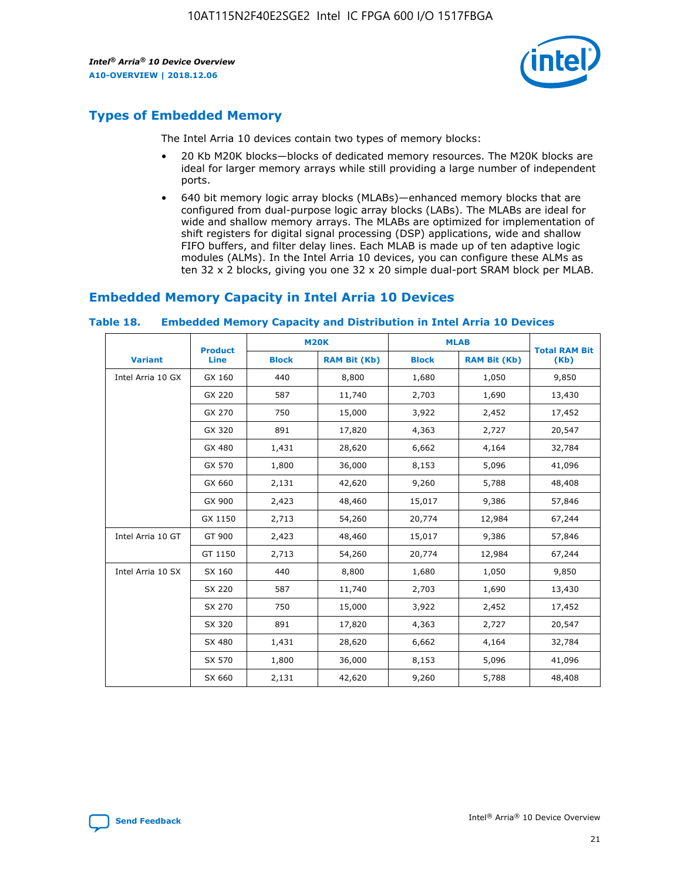

# **Types of Embedded Memory**

The Intel Arria 10 devices contain two types of memory blocks:

- 20 Kb M20K blocks—blocks of dedicated memory resources. The M20K blocks are ideal for larger memory arrays while still providing a large number of independent ports.
- 640 bit memory logic array blocks (MLABs)—enhanced memory blocks that are configured from dual-purpose logic array blocks (LABs). The MLABs are ideal for wide and shallow memory arrays. The MLABs are optimized for implementation of shift registers for digital signal processing (DSP) applications, wide and shallow FIFO buffers, and filter delay lines. Each MLAB is made up of ten adaptive logic modules (ALMs). In the Intel Arria 10 devices, you can configure these ALMs as ten 32 x 2 blocks, giving you one 32 x 20 simple dual-port SRAM block per MLAB.

# **Embedded Memory Capacity in Intel Arria 10 Devices**

|                   | <b>Product</b> |              | <b>M20K</b>         | <b>MLAB</b>  |                     | <b>Total RAM Bit</b> |
|-------------------|----------------|--------------|---------------------|--------------|---------------------|----------------------|
| <b>Variant</b>    | Line           | <b>Block</b> | <b>RAM Bit (Kb)</b> | <b>Block</b> | <b>RAM Bit (Kb)</b> | (Kb)                 |
| Intel Arria 10 GX | GX 160         | 440          | 8,800               | 1,680        | 1,050               | 9,850                |
|                   | GX 220         | 587          | 11,740              | 2,703        | 1,690               | 13,430               |
|                   | GX 270         | 750          | 15,000              | 3,922        | 2,452               | 17,452               |
|                   | GX 320         | 891          | 17,820              | 4,363        | 2,727               | 20,547               |
|                   | GX 480         | 1,431        | 28,620              | 6,662        | 4,164               | 32,784               |
|                   | GX 570         | 1,800        | 36,000              | 8,153        | 5,096               | 41,096               |
|                   | GX 660         | 2,131        | 42,620              | 9,260        | 5,788               | 48,408               |
|                   | GX 900         | 2,423        | 48,460              | 15,017       | 9,386               | 57,846               |
|                   | GX 1150        | 2,713        | 54,260              | 20,774       | 12,984              | 67,244               |
| Intel Arria 10 GT | GT 900         | 2,423        | 48,460              | 15,017       | 9,386               | 57,846               |
|                   | GT 1150        | 2,713        | 54,260              | 20,774       | 12,984              | 67,244               |
| Intel Arria 10 SX | SX 160         | 440          | 8,800               | 1,680        | 1,050               | 9,850                |
|                   | SX 220         | 587          | 11,740              | 2,703        | 1,690               | 13,430               |
|                   | SX 270         | 750          | 15,000              | 3,922        | 2,452               | 17,452               |
|                   | SX 320         | 891          | 17,820              | 4,363        | 2,727               | 20,547               |
|                   | SX 480         | 1,431        | 28,620              | 6,662        | 4,164               | 32,784               |
|                   | SX 570         | 1,800        | 36,000              | 8,153        | 5,096               | 41,096               |
|                   | SX 660         | 2,131        | 42,620              | 9,260        | 5,788               | 48,408               |

#### **Table 18. Embedded Memory Capacity and Distribution in Intel Arria 10 Devices**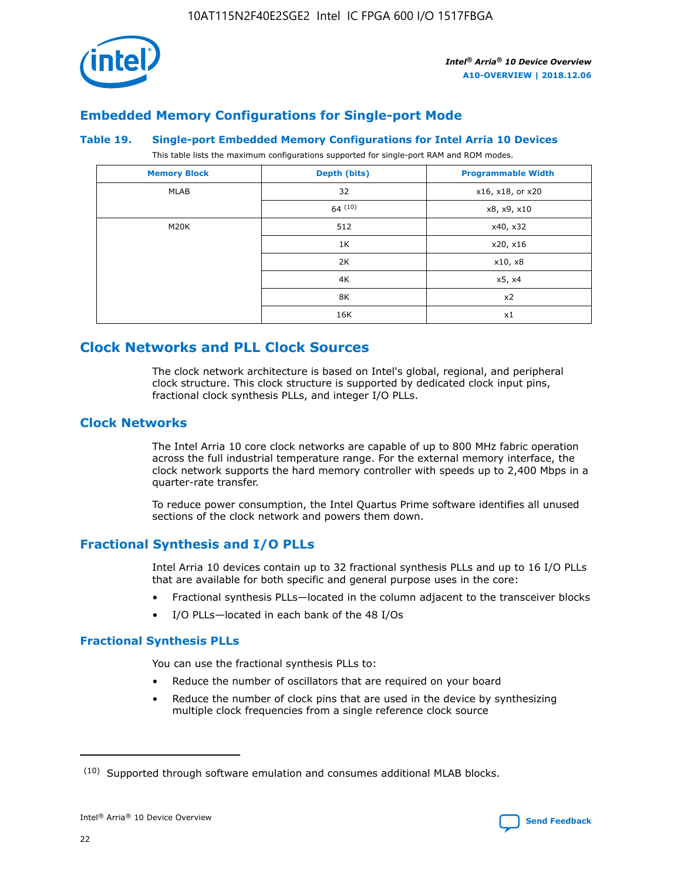

# **Embedded Memory Configurations for Single-port Mode**

#### **Table 19. Single-port Embedded Memory Configurations for Intel Arria 10 Devices**

This table lists the maximum configurations supported for single-port RAM and ROM modes.

| <b>Memory Block</b> | Depth (bits) | <b>Programmable Width</b> |
|---------------------|--------------|---------------------------|
| MLAB                | 32           | x16, x18, or x20          |
|                     | 64(10)       | x8, x9, x10               |
| M20K                | 512          | x40, x32                  |
|                     | 1K           | x20, x16                  |
|                     | 2K           | x10, x8                   |
|                     | 4K           | x5, x4                    |
|                     | 8K           | x2                        |
|                     | 16K          | x1                        |

# **Clock Networks and PLL Clock Sources**

The clock network architecture is based on Intel's global, regional, and peripheral clock structure. This clock structure is supported by dedicated clock input pins, fractional clock synthesis PLLs, and integer I/O PLLs.

# **Clock Networks**

The Intel Arria 10 core clock networks are capable of up to 800 MHz fabric operation across the full industrial temperature range. For the external memory interface, the clock network supports the hard memory controller with speeds up to 2,400 Mbps in a quarter-rate transfer.

To reduce power consumption, the Intel Quartus Prime software identifies all unused sections of the clock network and powers them down.

# **Fractional Synthesis and I/O PLLs**

Intel Arria 10 devices contain up to 32 fractional synthesis PLLs and up to 16 I/O PLLs that are available for both specific and general purpose uses in the core:

- Fractional synthesis PLLs—located in the column adjacent to the transceiver blocks
- I/O PLLs—located in each bank of the 48 I/Os

## **Fractional Synthesis PLLs**

You can use the fractional synthesis PLLs to:

- Reduce the number of oscillators that are required on your board
- Reduce the number of clock pins that are used in the device by synthesizing multiple clock frequencies from a single reference clock source

<sup>(10)</sup> Supported through software emulation and consumes additional MLAB blocks.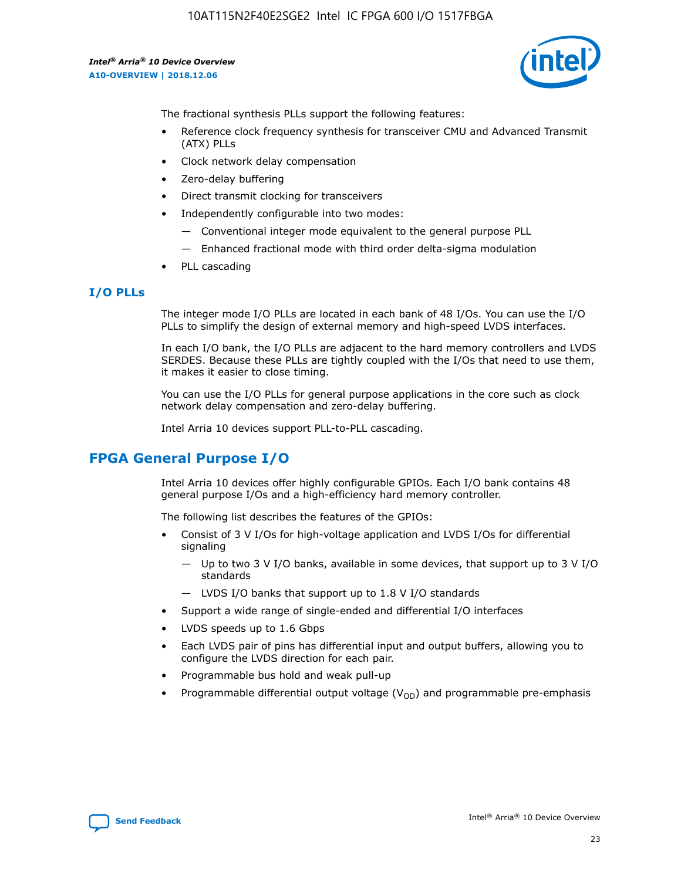

The fractional synthesis PLLs support the following features:

- Reference clock frequency synthesis for transceiver CMU and Advanced Transmit (ATX) PLLs
- Clock network delay compensation
- Zero-delay buffering
- Direct transmit clocking for transceivers
- Independently configurable into two modes:
	- Conventional integer mode equivalent to the general purpose PLL
	- Enhanced fractional mode with third order delta-sigma modulation
- PLL cascading

## **I/O PLLs**

The integer mode I/O PLLs are located in each bank of 48 I/Os. You can use the I/O PLLs to simplify the design of external memory and high-speed LVDS interfaces.

In each I/O bank, the I/O PLLs are adjacent to the hard memory controllers and LVDS SERDES. Because these PLLs are tightly coupled with the I/Os that need to use them, it makes it easier to close timing.

You can use the I/O PLLs for general purpose applications in the core such as clock network delay compensation and zero-delay buffering.

Intel Arria 10 devices support PLL-to-PLL cascading.

# **FPGA General Purpose I/O**

Intel Arria 10 devices offer highly configurable GPIOs. Each I/O bank contains 48 general purpose I/Os and a high-efficiency hard memory controller.

The following list describes the features of the GPIOs:

- Consist of 3 V I/Os for high-voltage application and LVDS I/Os for differential signaling
	- Up to two 3 V I/O banks, available in some devices, that support up to 3 V I/O standards
	- LVDS I/O banks that support up to 1.8 V I/O standards
- Support a wide range of single-ended and differential I/O interfaces
- LVDS speeds up to 1.6 Gbps
- Each LVDS pair of pins has differential input and output buffers, allowing you to configure the LVDS direction for each pair.
- Programmable bus hold and weak pull-up
- Programmable differential output voltage  $(V_{OD})$  and programmable pre-emphasis

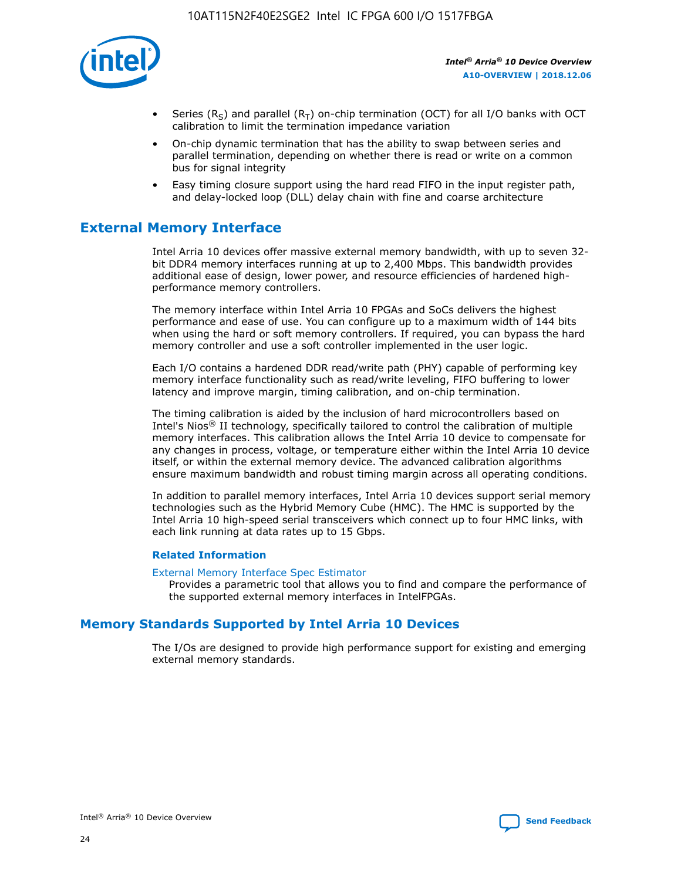

- Series (R<sub>S</sub>) and parallel (R<sub>T</sub>) on-chip termination (OCT) for all I/O banks with OCT calibration to limit the termination impedance variation
- On-chip dynamic termination that has the ability to swap between series and parallel termination, depending on whether there is read or write on a common bus for signal integrity
- Easy timing closure support using the hard read FIFO in the input register path, and delay-locked loop (DLL) delay chain with fine and coarse architecture

# **External Memory Interface**

Intel Arria 10 devices offer massive external memory bandwidth, with up to seven 32 bit DDR4 memory interfaces running at up to 2,400 Mbps. This bandwidth provides additional ease of design, lower power, and resource efficiencies of hardened highperformance memory controllers.

The memory interface within Intel Arria 10 FPGAs and SoCs delivers the highest performance and ease of use. You can configure up to a maximum width of 144 bits when using the hard or soft memory controllers. If required, you can bypass the hard memory controller and use a soft controller implemented in the user logic.

Each I/O contains a hardened DDR read/write path (PHY) capable of performing key memory interface functionality such as read/write leveling, FIFO buffering to lower latency and improve margin, timing calibration, and on-chip termination.

The timing calibration is aided by the inclusion of hard microcontrollers based on Intel's Nios® II technology, specifically tailored to control the calibration of multiple memory interfaces. This calibration allows the Intel Arria 10 device to compensate for any changes in process, voltage, or temperature either within the Intel Arria 10 device itself, or within the external memory device. The advanced calibration algorithms ensure maximum bandwidth and robust timing margin across all operating conditions.

In addition to parallel memory interfaces, Intel Arria 10 devices support serial memory technologies such as the Hybrid Memory Cube (HMC). The HMC is supported by the Intel Arria 10 high-speed serial transceivers which connect up to four HMC links, with each link running at data rates up to 15 Gbps.

## **Related Information**

#### [External Memory Interface Spec Estimator](http://www.altera.com/technology/memory/estimator/mem-emif-index.html)

Provides a parametric tool that allows you to find and compare the performance of the supported external memory interfaces in IntelFPGAs.

# **Memory Standards Supported by Intel Arria 10 Devices**

The I/Os are designed to provide high performance support for existing and emerging external memory standards.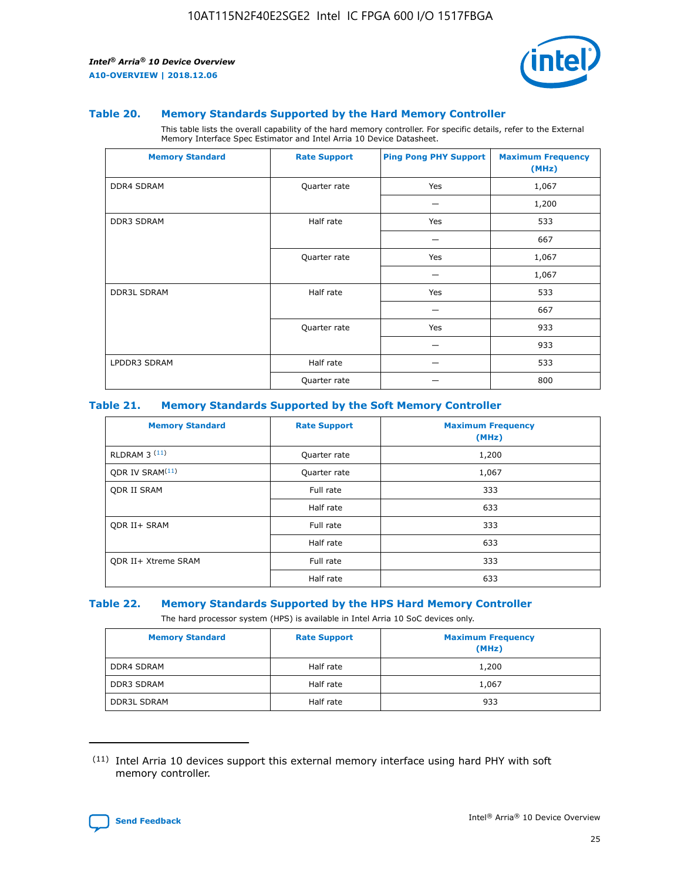

#### **Table 20. Memory Standards Supported by the Hard Memory Controller**

This table lists the overall capability of the hard memory controller. For specific details, refer to the External Memory Interface Spec Estimator and Intel Arria 10 Device Datasheet.

| <b>Memory Standard</b> | <b>Rate Support</b> | <b>Ping Pong PHY Support</b> | <b>Maximum Frequency</b><br>(MHz) |
|------------------------|---------------------|------------------------------|-----------------------------------|
| <b>DDR4 SDRAM</b>      | Quarter rate        | Yes                          | 1,067                             |
|                        |                     |                              | 1,200                             |
| DDR3 SDRAM             | Half rate           | Yes                          | 533                               |
|                        |                     |                              | 667                               |
|                        | Quarter rate        | Yes                          | 1,067                             |
|                        |                     |                              | 1,067                             |
| <b>DDR3L SDRAM</b>     | Half rate           | Yes                          | 533                               |
|                        |                     |                              | 667                               |
|                        | Quarter rate        | Yes                          | 933                               |
|                        |                     |                              | 933                               |
| LPDDR3 SDRAM           | Half rate           |                              | 533                               |
|                        | Quarter rate        |                              | 800                               |

#### **Table 21. Memory Standards Supported by the Soft Memory Controller**

| <b>Memory Standard</b>      | <b>Rate Support</b> | <b>Maximum Frequency</b><br>(MHz) |
|-----------------------------|---------------------|-----------------------------------|
| <b>RLDRAM 3 (11)</b>        | Quarter rate        | 1,200                             |
| ODR IV SRAM <sup>(11)</sup> | Quarter rate        | 1,067                             |
| <b>ODR II SRAM</b>          | Full rate           | 333                               |
|                             | Half rate           | 633                               |
| <b>ODR II+ SRAM</b>         | Full rate           | 333                               |
|                             | Half rate           | 633                               |
| <b>ODR II+ Xtreme SRAM</b>  | Full rate           | 333                               |
|                             | Half rate           | 633                               |

#### **Table 22. Memory Standards Supported by the HPS Hard Memory Controller**

The hard processor system (HPS) is available in Intel Arria 10 SoC devices only.

| <b>Memory Standard</b> | <b>Rate Support</b> | <b>Maximum Frequency</b><br>(MHz) |
|------------------------|---------------------|-----------------------------------|
| <b>DDR4 SDRAM</b>      | Half rate           | 1,200                             |
| <b>DDR3 SDRAM</b>      | Half rate           | 1,067                             |
| <b>DDR3L SDRAM</b>     | Half rate           | 933                               |

<sup>(11)</sup> Intel Arria 10 devices support this external memory interface using hard PHY with soft memory controller.

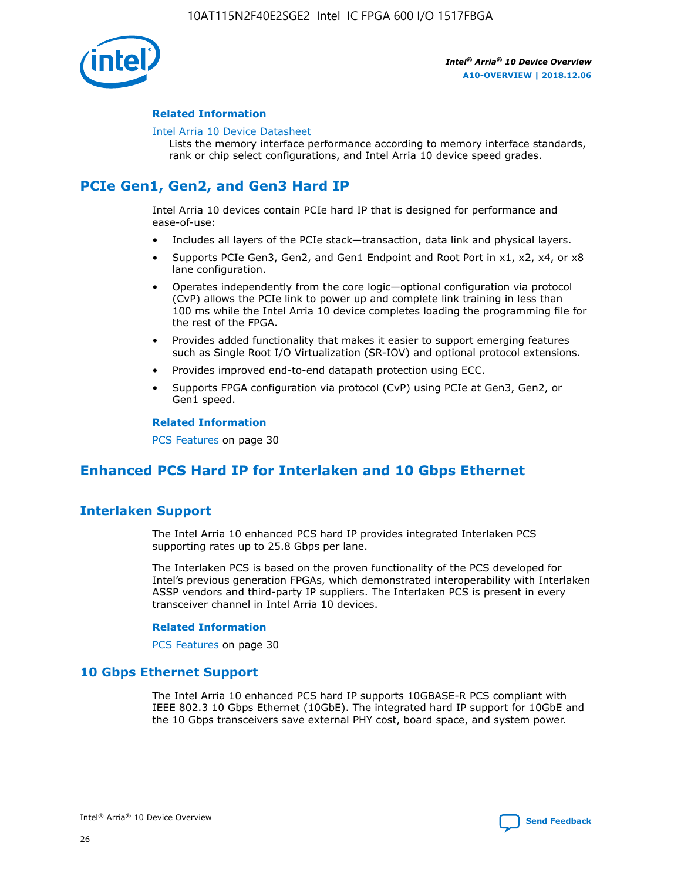

## **Related Information**

#### [Intel Arria 10 Device Datasheet](https://www.intel.com/content/www/us/en/programmable/documentation/mcn1413182292568.html#mcn1413182153340)

Lists the memory interface performance according to memory interface standards, rank or chip select configurations, and Intel Arria 10 device speed grades.

# **PCIe Gen1, Gen2, and Gen3 Hard IP**

Intel Arria 10 devices contain PCIe hard IP that is designed for performance and ease-of-use:

- Includes all layers of the PCIe stack—transaction, data link and physical layers.
- Supports PCIe Gen3, Gen2, and Gen1 Endpoint and Root Port in x1, x2, x4, or x8 lane configuration.
- Operates independently from the core logic—optional configuration via protocol (CvP) allows the PCIe link to power up and complete link training in less than 100 ms while the Intel Arria 10 device completes loading the programming file for the rest of the FPGA.
- Provides added functionality that makes it easier to support emerging features such as Single Root I/O Virtualization (SR-IOV) and optional protocol extensions.
- Provides improved end-to-end datapath protection using ECC.
- Supports FPGA configuration via protocol (CvP) using PCIe at Gen3, Gen2, or Gen1 speed.

#### **Related Information**

PCS Features on page 30

# **Enhanced PCS Hard IP for Interlaken and 10 Gbps Ethernet**

# **Interlaken Support**

The Intel Arria 10 enhanced PCS hard IP provides integrated Interlaken PCS supporting rates up to 25.8 Gbps per lane.

The Interlaken PCS is based on the proven functionality of the PCS developed for Intel's previous generation FPGAs, which demonstrated interoperability with Interlaken ASSP vendors and third-party IP suppliers. The Interlaken PCS is present in every transceiver channel in Intel Arria 10 devices.

## **Related Information**

PCS Features on page 30

# **10 Gbps Ethernet Support**

The Intel Arria 10 enhanced PCS hard IP supports 10GBASE-R PCS compliant with IEEE 802.3 10 Gbps Ethernet (10GbE). The integrated hard IP support for 10GbE and the 10 Gbps transceivers save external PHY cost, board space, and system power.

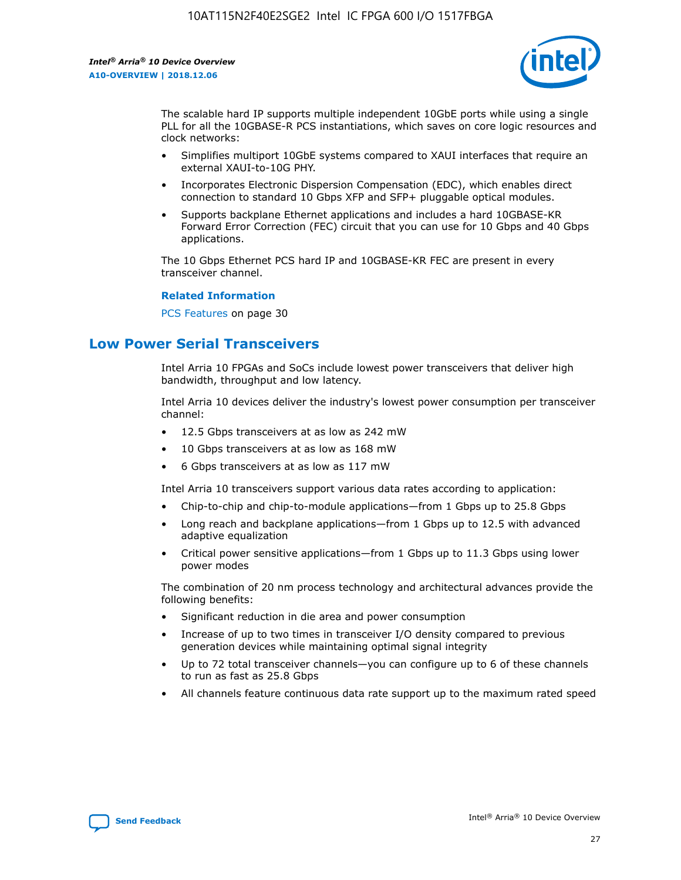

The scalable hard IP supports multiple independent 10GbE ports while using a single PLL for all the 10GBASE-R PCS instantiations, which saves on core logic resources and clock networks:

- Simplifies multiport 10GbE systems compared to XAUI interfaces that require an external XAUI-to-10G PHY.
- Incorporates Electronic Dispersion Compensation (EDC), which enables direct connection to standard 10 Gbps XFP and SFP+ pluggable optical modules.
- Supports backplane Ethernet applications and includes a hard 10GBASE-KR Forward Error Correction (FEC) circuit that you can use for 10 Gbps and 40 Gbps applications.

The 10 Gbps Ethernet PCS hard IP and 10GBASE-KR FEC are present in every transceiver channel.

#### **Related Information**

PCS Features on page 30

# **Low Power Serial Transceivers**

Intel Arria 10 FPGAs and SoCs include lowest power transceivers that deliver high bandwidth, throughput and low latency.

Intel Arria 10 devices deliver the industry's lowest power consumption per transceiver channel:

- 12.5 Gbps transceivers at as low as 242 mW
- 10 Gbps transceivers at as low as 168 mW
- 6 Gbps transceivers at as low as 117 mW

Intel Arria 10 transceivers support various data rates according to application:

- Chip-to-chip and chip-to-module applications—from 1 Gbps up to 25.8 Gbps
- Long reach and backplane applications—from 1 Gbps up to 12.5 with advanced adaptive equalization
- Critical power sensitive applications—from 1 Gbps up to 11.3 Gbps using lower power modes

The combination of 20 nm process technology and architectural advances provide the following benefits:

- Significant reduction in die area and power consumption
- Increase of up to two times in transceiver I/O density compared to previous generation devices while maintaining optimal signal integrity
- Up to 72 total transceiver channels—you can configure up to 6 of these channels to run as fast as 25.8 Gbps
- All channels feature continuous data rate support up to the maximum rated speed

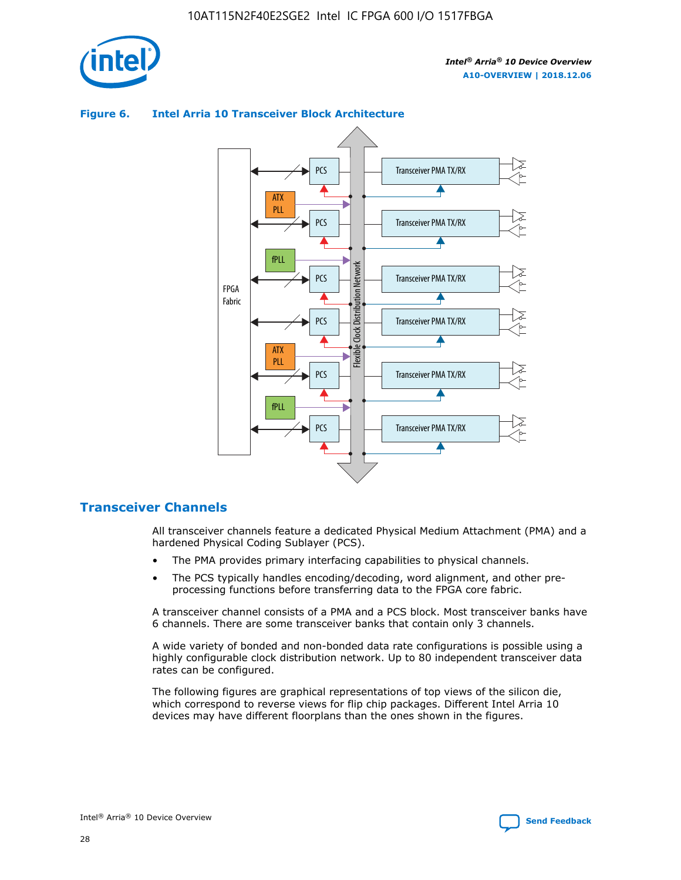

## Transceiver PMA TX/RX PCS ATX PLL Transceiver PMA TX/RX PCS fPLL Network Flexible Clock Distribution Network PCS Transceiver PMA TX/RX FPGA **Clock Distribution** Fabric PCS Transceiver PMA TX/RX ATX Flexible PLL PCS Transceiver PMA TX/RX ▲ fPLL Transceiver PMA TX/RX PCS

## **Figure 6. Intel Arria 10 Transceiver Block Architecture**

# **Transceiver Channels**

All transceiver channels feature a dedicated Physical Medium Attachment (PMA) and a hardened Physical Coding Sublayer (PCS).

4

- The PMA provides primary interfacing capabilities to physical channels.
- The PCS typically handles encoding/decoding, word alignment, and other preprocessing functions before transferring data to the FPGA core fabric.

A transceiver channel consists of a PMA and a PCS block. Most transceiver banks have 6 channels. There are some transceiver banks that contain only 3 channels.

A wide variety of bonded and non-bonded data rate configurations is possible using a highly configurable clock distribution network. Up to 80 independent transceiver data rates can be configured.

The following figures are graphical representations of top views of the silicon die, which correspond to reverse views for flip chip packages. Different Intel Arria 10 devices may have different floorplans than the ones shown in the figures.

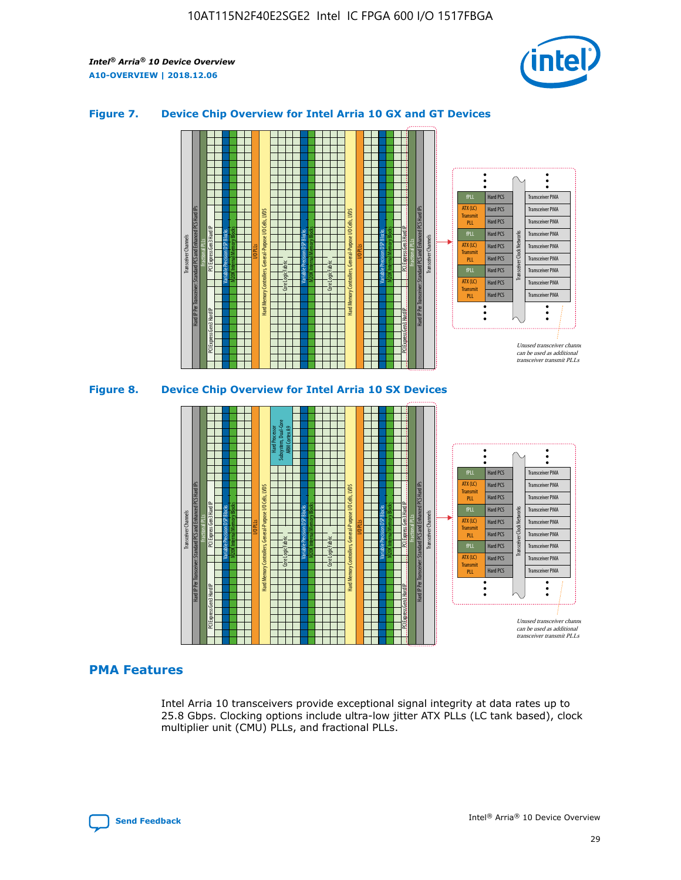

## **Figure 7. Device Chip Overview for Intel Arria 10 GX and GT Devices**





## **PMA Features**

Intel Arria 10 transceivers provide exceptional signal integrity at data rates up to 25.8 Gbps. Clocking options include ultra-low jitter ATX PLLs (LC tank based), clock multiplier unit (CMU) PLLs, and fractional PLLs.

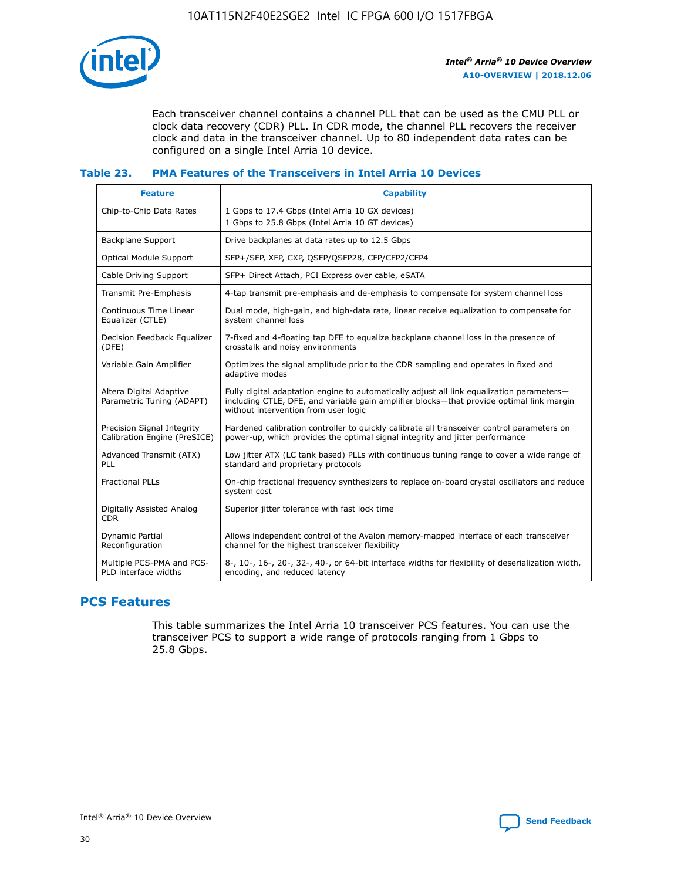

Each transceiver channel contains a channel PLL that can be used as the CMU PLL or clock data recovery (CDR) PLL. In CDR mode, the channel PLL recovers the receiver clock and data in the transceiver channel. Up to 80 independent data rates can be configured on a single Intel Arria 10 device.

## **Table 23. PMA Features of the Transceivers in Intel Arria 10 Devices**

| <b>Feature</b>                                             | <b>Capability</b>                                                                                                                                                                                                             |
|------------------------------------------------------------|-------------------------------------------------------------------------------------------------------------------------------------------------------------------------------------------------------------------------------|
| Chip-to-Chip Data Rates                                    | 1 Gbps to 17.4 Gbps (Intel Arria 10 GX devices)<br>1 Gbps to 25.8 Gbps (Intel Arria 10 GT devices)                                                                                                                            |
| <b>Backplane Support</b>                                   | Drive backplanes at data rates up to 12.5 Gbps                                                                                                                                                                                |
| <b>Optical Module Support</b>                              | SFP+/SFP, XFP, CXP, QSFP/QSFP28, CFP/CFP2/CFP4                                                                                                                                                                                |
| Cable Driving Support                                      | SFP+ Direct Attach, PCI Express over cable, eSATA                                                                                                                                                                             |
| Transmit Pre-Emphasis                                      | 4-tap transmit pre-emphasis and de-emphasis to compensate for system channel loss                                                                                                                                             |
| Continuous Time Linear<br>Equalizer (CTLE)                 | Dual mode, high-gain, and high-data rate, linear receive equalization to compensate for<br>system channel loss                                                                                                                |
| Decision Feedback Equalizer<br>(DFE)                       | 7-fixed and 4-floating tap DFE to equalize backplane channel loss in the presence of<br>crosstalk and noisy environments                                                                                                      |
| Variable Gain Amplifier                                    | Optimizes the signal amplitude prior to the CDR sampling and operates in fixed and<br>adaptive modes                                                                                                                          |
| Altera Digital Adaptive<br>Parametric Tuning (ADAPT)       | Fully digital adaptation engine to automatically adjust all link equalization parameters-<br>including CTLE, DFE, and variable gain amplifier blocks—that provide optimal link margin<br>without intervention from user logic |
| Precision Signal Integrity<br>Calibration Engine (PreSICE) | Hardened calibration controller to quickly calibrate all transceiver control parameters on<br>power-up, which provides the optimal signal integrity and jitter performance                                                    |
| Advanced Transmit (ATX)<br>PLL                             | Low jitter ATX (LC tank based) PLLs with continuous tuning range to cover a wide range of<br>standard and proprietary protocols                                                                                               |
| <b>Fractional PLLs</b>                                     | On-chip fractional frequency synthesizers to replace on-board crystal oscillators and reduce<br>system cost                                                                                                                   |
| Digitally Assisted Analog<br><b>CDR</b>                    | Superior jitter tolerance with fast lock time                                                                                                                                                                                 |
| Dynamic Partial<br>Reconfiguration                         | Allows independent control of the Avalon memory-mapped interface of each transceiver<br>channel for the highest transceiver flexibility                                                                                       |
| Multiple PCS-PMA and PCS-<br>PLD interface widths          | 8-, 10-, 16-, 20-, 32-, 40-, or 64-bit interface widths for flexibility of deserialization width,<br>encoding, and reduced latency                                                                                            |

# **PCS Features**

This table summarizes the Intel Arria 10 transceiver PCS features. You can use the transceiver PCS to support a wide range of protocols ranging from 1 Gbps to 25.8 Gbps.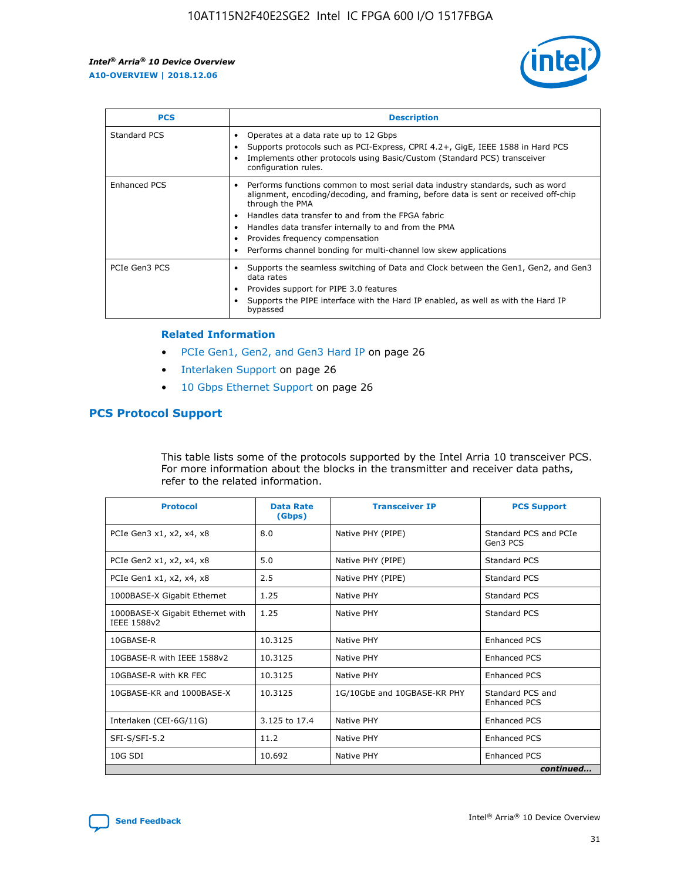

| <b>PCS</b>    | <b>Description</b>                                                                                                                                                                                                                                                                                                                                                                                             |
|---------------|----------------------------------------------------------------------------------------------------------------------------------------------------------------------------------------------------------------------------------------------------------------------------------------------------------------------------------------------------------------------------------------------------------------|
| Standard PCS  | Operates at a data rate up to 12 Gbps<br>Supports protocols such as PCI-Express, CPRI 4.2+, GigE, IEEE 1588 in Hard PCS<br>Implements other protocols using Basic/Custom (Standard PCS) transceiver<br>configuration rules.                                                                                                                                                                                    |
| Enhanced PCS  | Performs functions common to most serial data industry standards, such as word<br>alignment, encoding/decoding, and framing, before data is sent or received off-chip<br>through the PMA<br>• Handles data transfer to and from the FPGA fabric<br>Handles data transfer internally to and from the PMA<br>Provides frequency compensation<br>Performs channel bonding for multi-channel low skew applications |
| PCIe Gen3 PCS | Supports the seamless switching of Data and Clock between the Gen1, Gen2, and Gen3<br>data rates<br>Provides support for PIPE 3.0 features<br>Supports the PIPE interface with the Hard IP enabled, as well as with the Hard IP<br>bypassed                                                                                                                                                                    |

#### **Related Information**

- PCIe Gen1, Gen2, and Gen3 Hard IP on page 26
- Interlaken Support on page 26
- 10 Gbps Ethernet Support on page 26

# **PCS Protocol Support**

This table lists some of the protocols supported by the Intel Arria 10 transceiver PCS. For more information about the blocks in the transmitter and receiver data paths, refer to the related information.

| <b>Protocol</b>                                 | <b>Data Rate</b><br>(Gbps) | <b>Transceiver IP</b>       | <b>PCS Support</b>                      |
|-------------------------------------------------|----------------------------|-----------------------------|-----------------------------------------|
| PCIe Gen3 x1, x2, x4, x8                        | 8.0                        | Native PHY (PIPE)           | Standard PCS and PCIe<br>Gen3 PCS       |
| PCIe Gen2 x1, x2, x4, x8                        | 5.0                        | Native PHY (PIPE)           | <b>Standard PCS</b>                     |
| PCIe Gen1 x1, x2, x4, x8                        | 2.5                        | Native PHY (PIPE)           | Standard PCS                            |
| 1000BASE-X Gigabit Ethernet                     | 1.25                       | Native PHY                  | <b>Standard PCS</b>                     |
| 1000BASE-X Gigabit Ethernet with<br>IEEE 1588v2 | 1.25                       | Native PHY                  | Standard PCS                            |
| 10GBASE-R                                       | 10.3125                    | Native PHY                  | <b>Enhanced PCS</b>                     |
| 10GBASE-R with IEEE 1588v2                      | 10.3125                    | Native PHY                  | <b>Enhanced PCS</b>                     |
| 10GBASE-R with KR FEC                           | 10.3125                    | Native PHY                  | <b>Enhanced PCS</b>                     |
| 10GBASE-KR and 1000BASE-X                       | 10.3125                    | 1G/10GbE and 10GBASE-KR PHY | Standard PCS and<br><b>Enhanced PCS</b> |
| Interlaken (CEI-6G/11G)                         | 3.125 to 17.4              | Native PHY                  | <b>Enhanced PCS</b>                     |
| SFI-S/SFI-5.2                                   | 11.2                       | Native PHY                  | <b>Enhanced PCS</b>                     |
| $10G$ SDI                                       | 10.692                     | Native PHY                  | <b>Enhanced PCS</b>                     |
|                                                 |                            |                             | continued                               |

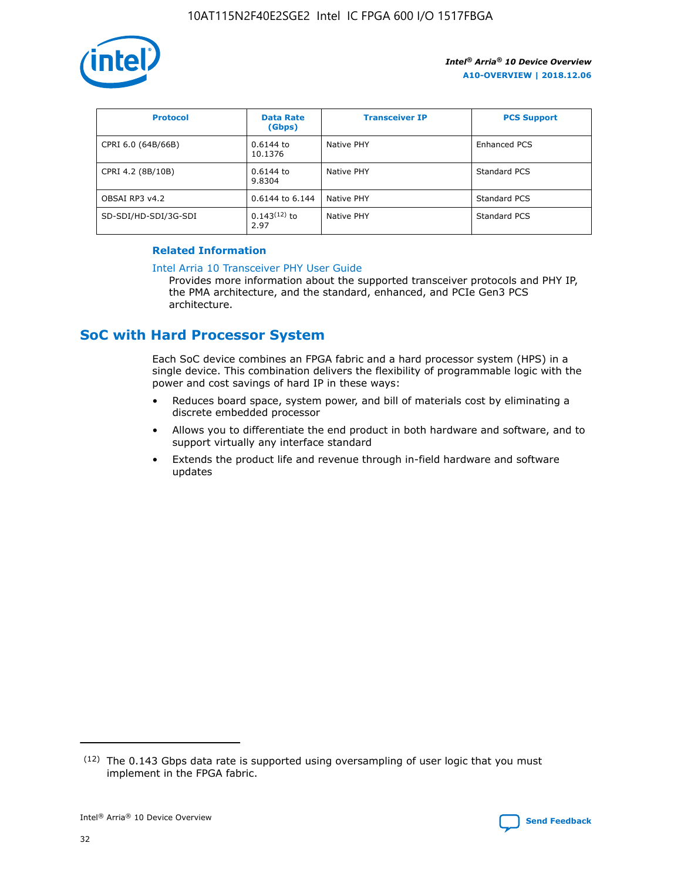

| <b>Protocol</b>      | <b>Data Rate</b><br>(Gbps) | <b>Transceiver IP</b> | <b>PCS Support</b> |
|----------------------|----------------------------|-----------------------|--------------------|
| CPRI 6.0 (64B/66B)   | 0.6144 to<br>10.1376       | Native PHY            | Enhanced PCS       |
| CPRI 4.2 (8B/10B)    | $0.6144$ to<br>9.8304      | Native PHY            | Standard PCS       |
| OBSAI RP3 v4.2       | 0.6144 to 6.144            | Native PHY            | Standard PCS       |
| SD-SDI/HD-SDI/3G-SDI | $0.143(12)$ to<br>2.97     | Native PHY            | Standard PCS       |

# **Related Information**

#### [Intel Arria 10 Transceiver PHY User Guide](https://www.intel.com/content/www/us/en/programmable/documentation/nik1398707230472.html#nik1398707091164)

Provides more information about the supported transceiver protocols and PHY IP, the PMA architecture, and the standard, enhanced, and PCIe Gen3 PCS architecture.

# **SoC with Hard Processor System**

Each SoC device combines an FPGA fabric and a hard processor system (HPS) in a single device. This combination delivers the flexibility of programmable logic with the power and cost savings of hard IP in these ways:

- Reduces board space, system power, and bill of materials cost by eliminating a discrete embedded processor
- Allows you to differentiate the end product in both hardware and software, and to support virtually any interface standard
- Extends the product life and revenue through in-field hardware and software updates

 $(12)$  The 0.143 Gbps data rate is supported using oversampling of user logic that you must implement in the FPGA fabric.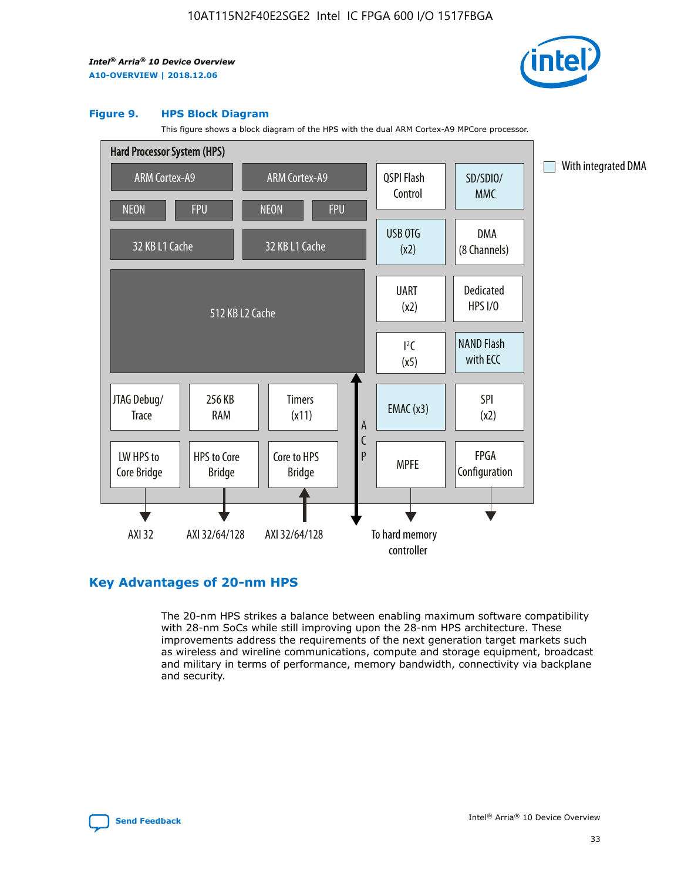

#### **Figure 9. HPS Block Diagram**

This figure shows a block diagram of the HPS with the dual ARM Cortex-A9 MPCore processor.



# **Key Advantages of 20-nm HPS**

The 20-nm HPS strikes a balance between enabling maximum software compatibility with 28-nm SoCs while still improving upon the 28-nm HPS architecture. These improvements address the requirements of the next generation target markets such as wireless and wireline communications, compute and storage equipment, broadcast and military in terms of performance, memory bandwidth, connectivity via backplane and security.

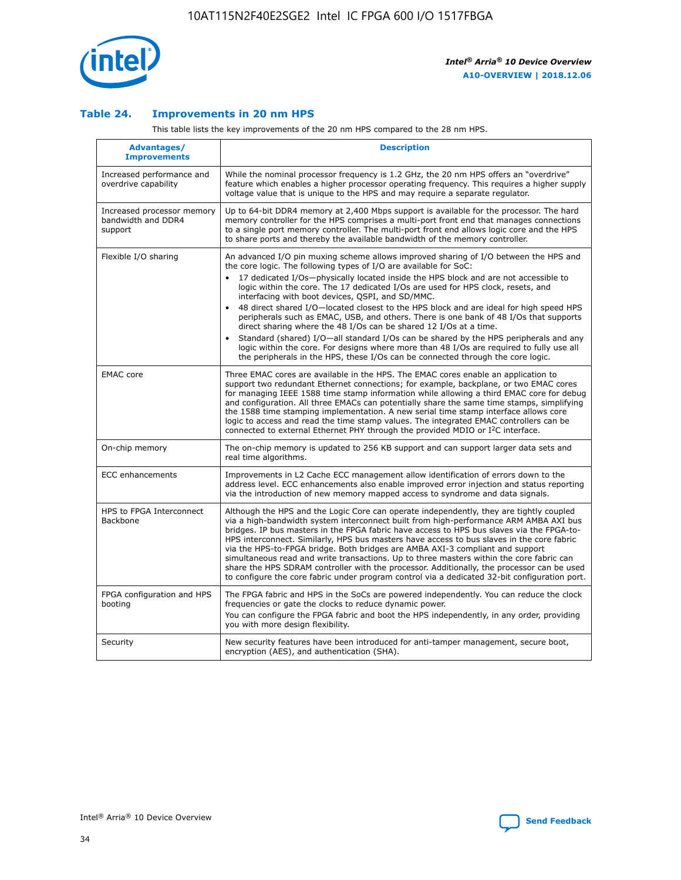

## **Table 24. Improvements in 20 nm HPS**

This table lists the key improvements of the 20 nm HPS compared to the 28 nm HPS.

| Advantages/<br><b>Improvements</b>                          | <b>Description</b>                                                                                                                                                                                                                                                                                                                                                                                                                                                                                                                                                                                                                                                                                                                                                                                                                                                                                                                   |
|-------------------------------------------------------------|--------------------------------------------------------------------------------------------------------------------------------------------------------------------------------------------------------------------------------------------------------------------------------------------------------------------------------------------------------------------------------------------------------------------------------------------------------------------------------------------------------------------------------------------------------------------------------------------------------------------------------------------------------------------------------------------------------------------------------------------------------------------------------------------------------------------------------------------------------------------------------------------------------------------------------------|
| Increased performance and<br>overdrive capability           | While the nominal processor frequency is 1.2 GHz, the 20 nm HPS offers an "overdrive"<br>feature which enables a higher processor operating frequency. This requires a higher supply<br>voltage value that is unique to the HPS and may require a separate regulator.                                                                                                                                                                                                                                                                                                                                                                                                                                                                                                                                                                                                                                                                |
| Increased processor memory<br>bandwidth and DDR4<br>support | Up to 64-bit DDR4 memory at 2,400 Mbps support is available for the processor. The hard<br>memory controller for the HPS comprises a multi-port front end that manages connections<br>to a single port memory controller. The multi-port front end allows logic core and the HPS<br>to share ports and thereby the available bandwidth of the memory controller.                                                                                                                                                                                                                                                                                                                                                                                                                                                                                                                                                                     |
| Flexible I/O sharing                                        | An advanced I/O pin muxing scheme allows improved sharing of I/O between the HPS and<br>the core logic. The following types of I/O are available for SoC:<br>17 dedicated I/Os-physically located inside the HPS block and are not accessible to<br>logic within the core. The 17 dedicated I/Os are used for HPS clock, resets, and<br>interfacing with boot devices, QSPI, and SD/MMC.<br>48 direct shared I/O-located closest to the HPS block and are ideal for high speed HPS<br>$\bullet$<br>peripherals such as EMAC, USB, and others. There is one bank of 48 I/Os that supports<br>direct sharing where the 48 I/Os can be shared 12 I/Os at a time.<br>Standard (shared) I/O-all standard I/Os can be shared by the HPS peripherals and any<br>logic within the core. For designs where more than 48 I/Os are reguired to fully use all<br>the peripherals in the HPS, these I/Os can be connected through the core logic. |
| <b>EMAC</b> core                                            | Three EMAC cores are available in the HPS. The EMAC cores enable an application to<br>support two redundant Ethernet connections; for example, backplane, or two EMAC cores<br>for managing IEEE 1588 time stamp information while allowing a third EMAC core for debug<br>and configuration. All three EMACs can potentially share the same time stamps, simplifying<br>the 1588 time stamping implementation. A new serial time stamp interface allows core<br>logic to access and read the time stamp values. The integrated EMAC controllers can be<br>connected to external Ethernet PHY through the provided MDIO or I <sup>2</sup> C interface.                                                                                                                                                                                                                                                                               |
| On-chip memory                                              | The on-chip memory is updated to 256 KB support and can support larger data sets and<br>real time algorithms.                                                                                                                                                                                                                                                                                                                                                                                                                                                                                                                                                                                                                                                                                                                                                                                                                        |
| <b>ECC</b> enhancements                                     | Improvements in L2 Cache ECC management allow identification of errors down to the<br>address level. ECC enhancements also enable improved error injection and status reporting<br>via the introduction of new memory mapped access to syndrome and data signals.                                                                                                                                                                                                                                                                                                                                                                                                                                                                                                                                                                                                                                                                    |
| HPS to FPGA Interconnect<br>Backbone                        | Although the HPS and the Logic Core can operate independently, they are tightly coupled<br>via a high-bandwidth system interconnect built from high-performance ARM AMBA AXI bus<br>bridges. IP bus masters in the FPGA fabric have access to HPS bus slaves via the FPGA-to-<br>HPS interconnect. Similarly, HPS bus masters have access to bus slaves in the core fabric<br>via the HPS-to-FPGA bridge. Both bridges are AMBA AXI-3 compliant and support<br>simultaneous read and write transactions. Up to three masters within the core fabric can<br>share the HPS SDRAM controller with the processor. Additionally, the processor can be used<br>to configure the core fabric under program control via a dedicated 32-bit configuration port.                                                                                                                                                                               |
| FPGA configuration and HPS<br>booting                       | The FPGA fabric and HPS in the SoCs are powered independently. You can reduce the clock<br>frequencies or gate the clocks to reduce dynamic power.<br>You can configure the FPGA fabric and boot the HPS independently, in any order, providing<br>you with more design flexibility.                                                                                                                                                                                                                                                                                                                                                                                                                                                                                                                                                                                                                                                 |
| Security                                                    | New security features have been introduced for anti-tamper management, secure boot,<br>encryption (AES), and authentication (SHA).                                                                                                                                                                                                                                                                                                                                                                                                                                                                                                                                                                                                                                                                                                                                                                                                   |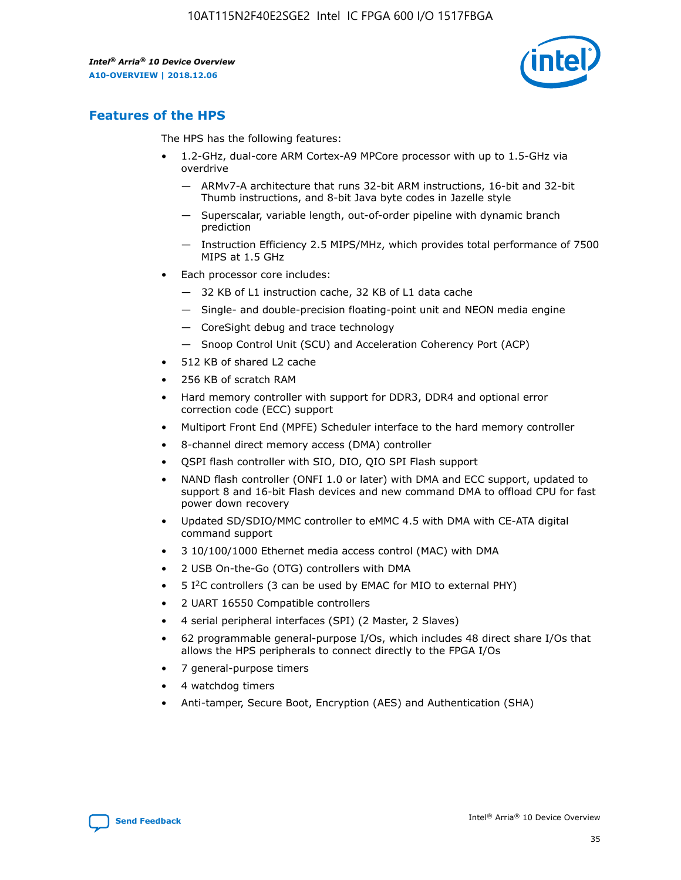

# **Features of the HPS**

The HPS has the following features:

- 1.2-GHz, dual-core ARM Cortex-A9 MPCore processor with up to 1.5-GHz via overdrive
	- ARMv7-A architecture that runs 32-bit ARM instructions, 16-bit and 32-bit Thumb instructions, and 8-bit Java byte codes in Jazelle style
	- Superscalar, variable length, out-of-order pipeline with dynamic branch prediction
	- Instruction Efficiency 2.5 MIPS/MHz, which provides total performance of 7500 MIPS at 1.5 GHz
- Each processor core includes:
	- 32 KB of L1 instruction cache, 32 KB of L1 data cache
	- Single- and double-precision floating-point unit and NEON media engine
	- CoreSight debug and trace technology
	- Snoop Control Unit (SCU) and Acceleration Coherency Port (ACP)
- 512 KB of shared L2 cache
- 256 KB of scratch RAM
- Hard memory controller with support for DDR3, DDR4 and optional error correction code (ECC) support
- Multiport Front End (MPFE) Scheduler interface to the hard memory controller
- 8-channel direct memory access (DMA) controller
- QSPI flash controller with SIO, DIO, QIO SPI Flash support
- NAND flash controller (ONFI 1.0 or later) with DMA and ECC support, updated to support 8 and 16-bit Flash devices and new command DMA to offload CPU for fast power down recovery
- Updated SD/SDIO/MMC controller to eMMC 4.5 with DMA with CE-ATA digital command support
- 3 10/100/1000 Ethernet media access control (MAC) with DMA
- 2 USB On-the-Go (OTG) controllers with DMA
- $\bullet$  5 I<sup>2</sup>C controllers (3 can be used by EMAC for MIO to external PHY)
- 2 UART 16550 Compatible controllers
- 4 serial peripheral interfaces (SPI) (2 Master, 2 Slaves)
- 62 programmable general-purpose I/Os, which includes 48 direct share I/Os that allows the HPS peripherals to connect directly to the FPGA I/Os
- 7 general-purpose timers
- 4 watchdog timers
- Anti-tamper, Secure Boot, Encryption (AES) and Authentication (SHA)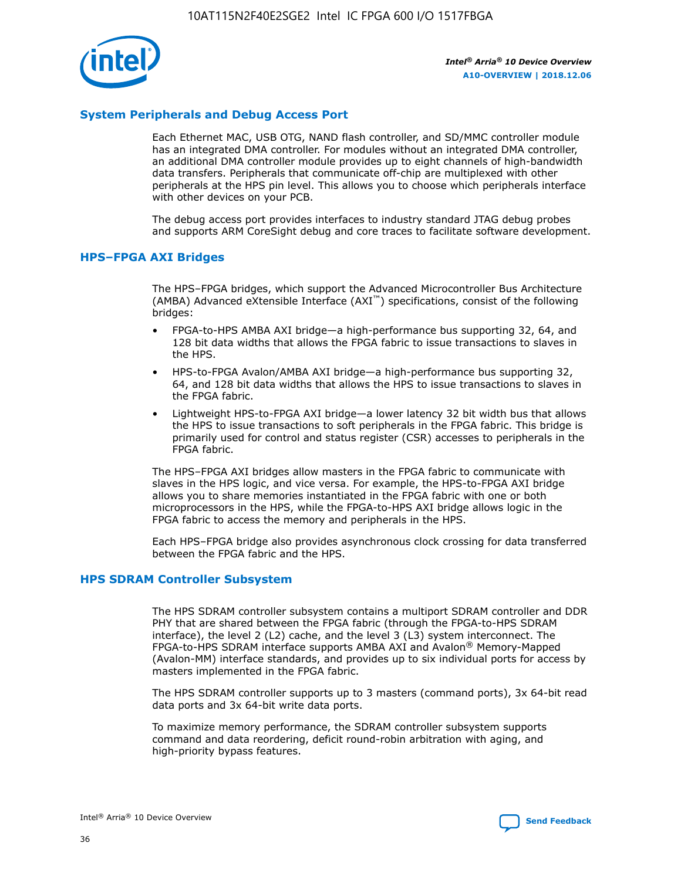

# **System Peripherals and Debug Access Port**

Each Ethernet MAC, USB OTG, NAND flash controller, and SD/MMC controller module has an integrated DMA controller. For modules without an integrated DMA controller, an additional DMA controller module provides up to eight channels of high-bandwidth data transfers. Peripherals that communicate off-chip are multiplexed with other peripherals at the HPS pin level. This allows you to choose which peripherals interface with other devices on your PCB.

The debug access port provides interfaces to industry standard JTAG debug probes and supports ARM CoreSight debug and core traces to facilitate software development.

## **HPS–FPGA AXI Bridges**

The HPS–FPGA bridges, which support the Advanced Microcontroller Bus Architecture (AMBA) Advanced eXtensible Interface (AXI™) specifications, consist of the following bridges:

- FPGA-to-HPS AMBA AXI bridge—a high-performance bus supporting 32, 64, and 128 bit data widths that allows the FPGA fabric to issue transactions to slaves in the HPS.
- HPS-to-FPGA Avalon/AMBA AXI bridge—a high-performance bus supporting 32, 64, and 128 bit data widths that allows the HPS to issue transactions to slaves in the FPGA fabric.
- Lightweight HPS-to-FPGA AXI bridge—a lower latency 32 bit width bus that allows the HPS to issue transactions to soft peripherals in the FPGA fabric. This bridge is primarily used for control and status register (CSR) accesses to peripherals in the FPGA fabric.

The HPS–FPGA AXI bridges allow masters in the FPGA fabric to communicate with slaves in the HPS logic, and vice versa. For example, the HPS-to-FPGA AXI bridge allows you to share memories instantiated in the FPGA fabric with one or both microprocessors in the HPS, while the FPGA-to-HPS AXI bridge allows logic in the FPGA fabric to access the memory and peripherals in the HPS.

Each HPS–FPGA bridge also provides asynchronous clock crossing for data transferred between the FPGA fabric and the HPS.

## **HPS SDRAM Controller Subsystem**

The HPS SDRAM controller subsystem contains a multiport SDRAM controller and DDR PHY that are shared between the FPGA fabric (through the FPGA-to-HPS SDRAM interface), the level 2 (L2) cache, and the level 3 (L3) system interconnect. The FPGA-to-HPS SDRAM interface supports AMBA AXI and Avalon® Memory-Mapped (Avalon-MM) interface standards, and provides up to six individual ports for access by masters implemented in the FPGA fabric.

The HPS SDRAM controller supports up to 3 masters (command ports), 3x 64-bit read data ports and 3x 64-bit write data ports.

To maximize memory performance, the SDRAM controller subsystem supports command and data reordering, deficit round-robin arbitration with aging, and high-priority bypass features.

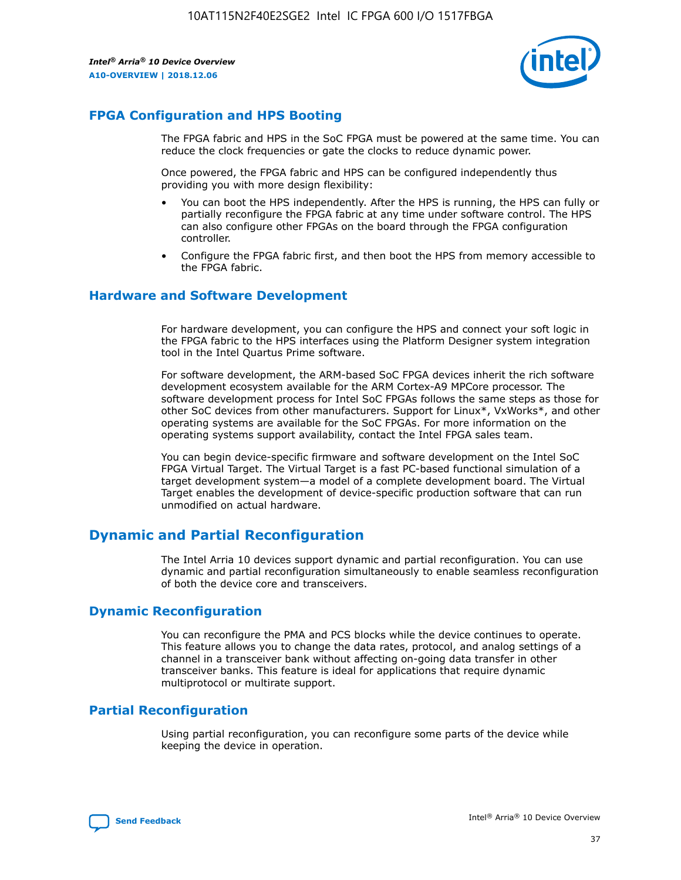

# **FPGA Configuration and HPS Booting**

The FPGA fabric and HPS in the SoC FPGA must be powered at the same time. You can reduce the clock frequencies or gate the clocks to reduce dynamic power.

Once powered, the FPGA fabric and HPS can be configured independently thus providing you with more design flexibility:

- You can boot the HPS independently. After the HPS is running, the HPS can fully or partially reconfigure the FPGA fabric at any time under software control. The HPS can also configure other FPGAs on the board through the FPGA configuration controller.
- Configure the FPGA fabric first, and then boot the HPS from memory accessible to the FPGA fabric.

## **Hardware and Software Development**

For hardware development, you can configure the HPS and connect your soft logic in the FPGA fabric to the HPS interfaces using the Platform Designer system integration tool in the Intel Quartus Prime software.

For software development, the ARM-based SoC FPGA devices inherit the rich software development ecosystem available for the ARM Cortex-A9 MPCore processor. The software development process for Intel SoC FPGAs follows the same steps as those for other SoC devices from other manufacturers. Support for Linux\*, VxWorks\*, and other operating systems are available for the SoC FPGAs. For more information on the operating systems support availability, contact the Intel FPGA sales team.

You can begin device-specific firmware and software development on the Intel SoC FPGA Virtual Target. The Virtual Target is a fast PC-based functional simulation of a target development system—a model of a complete development board. The Virtual Target enables the development of device-specific production software that can run unmodified on actual hardware.

# **Dynamic and Partial Reconfiguration**

The Intel Arria 10 devices support dynamic and partial reconfiguration. You can use dynamic and partial reconfiguration simultaneously to enable seamless reconfiguration of both the device core and transceivers.

# **Dynamic Reconfiguration**

You can reconfigure the PMA and PCS blocks while the device continues to operate. This feature allows you to change the data rates, protocol, and analog settings of a channel in a transceiver bank without affecting on-going data transfer in other transceiver banks. This feature is ideal for applications that require dynamic multiprotocol or multirate support.

# **Partial Reconfiguration**

Using partial reconfiguration, you can reconfigure some parts of the device while keeping the device in operation.

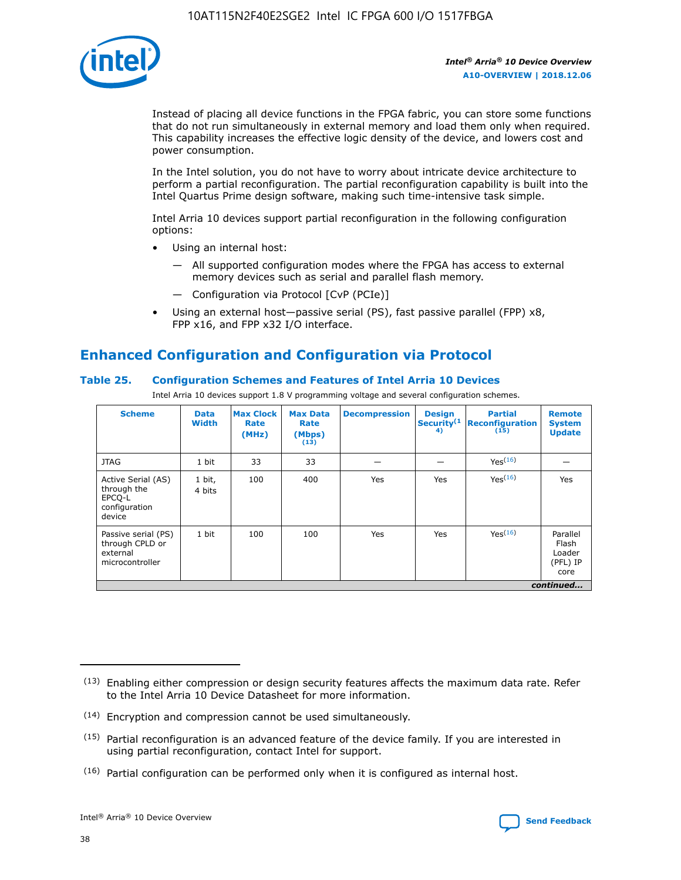

Instead of placing all device functions in the FPGA fabric, you can store some functions that do not run simultaneously in external memory and load them only when required. This capability increases the effective logic density of the device, and lowers cost and power consumption.

In the Intel solution, you do not have to worry about intricate device architecture to perform a partial reconfiguration. The partial reconfiguration capability is built into the Intel Quartus Prime design software, making such time-intensive task simple.

Intel Arria 10 devices support partial reconfiguration in the following configuration options:

- Using an internal host:
	- All supported configuration modes where the FPGA has access to external memory devices such as serial and parallel flash memory.
	- Configuration via Protocol [CvP (PCIe)]
- Using an external host—passive serial (PS), fast passive parallel (FPP) x8, FPP x16, and FPP x32 I/O interface.

# **Enhanced Configuration and Configuration via Protocol**

# **Table 25. Configuration Schemes and Features of Intel Arria 10 Devices**

Intel Arria 10 devices support 1.8 V programming voltage and several configuration schemes.

| <b>Scheme</b>                                                          | <b>Data</b><br><b>Width</b> | <b>Max Clock</b><br>Rate<br>(MHz) | <b>Max Data</b><br>Rate<br>(Mbps)<br>(13) | <b>Decompression</b> | <b>Design</b><br>Security <sup>(1</sup><br>4) | <b>Partial</b><br><b>Reconfiguration</b><br>(15) | <b>Remote</b><br><b>System</b><br><b>Update</b> |
|------------------------------------------------------------------------|-----------------------------|-----------------------------------|-------------------------------------------|----------------------|-----------------------------------------------|--------------------------------------------------|-------------------------------------------------|
| <b>JTAG</b>                                                            | 1 bit                       | 33                                | 33                                        |                      |                                               | Yes(16)                                          |                                                 |
| Active Serial (AS)<br>through the<br>EPCO-L<br>configuration<br>device | 1 bit,<br>4 bits            | 100                               | 400                                       | Yes                  | Yes                                           | $Y_{PS}(16)$                                     | Yes                                             |
| Passive serial (PS)<br>through CPLD or<br>external<br>microcontroller  | 1 bit                       | 100                               | 100                                       | Yes                  | Yes                                           | Yes(16)                                          | Parallel<br>Flash<br>Loader<br>(PFL) IP<br>core |
|                                                                        |                             |                                   |                                           |                      |                                               |                                                  | continued                                       |

<sup>(13)</sup> Enabling either compression or design security features affects the maximum data rate. Refer to the Intel Arria 10 Device Datasheet for more information.

<sup>(14)</sup> Encryption and compression cannot be used simultaneously.

 $(15)$  Partial reconfiguration is an advanced feature of the device family. If you are interested in using partial reconfiguration, contact Intel for support.

 $(16)$  Partial configuration can be performed only when it is configured as internal host.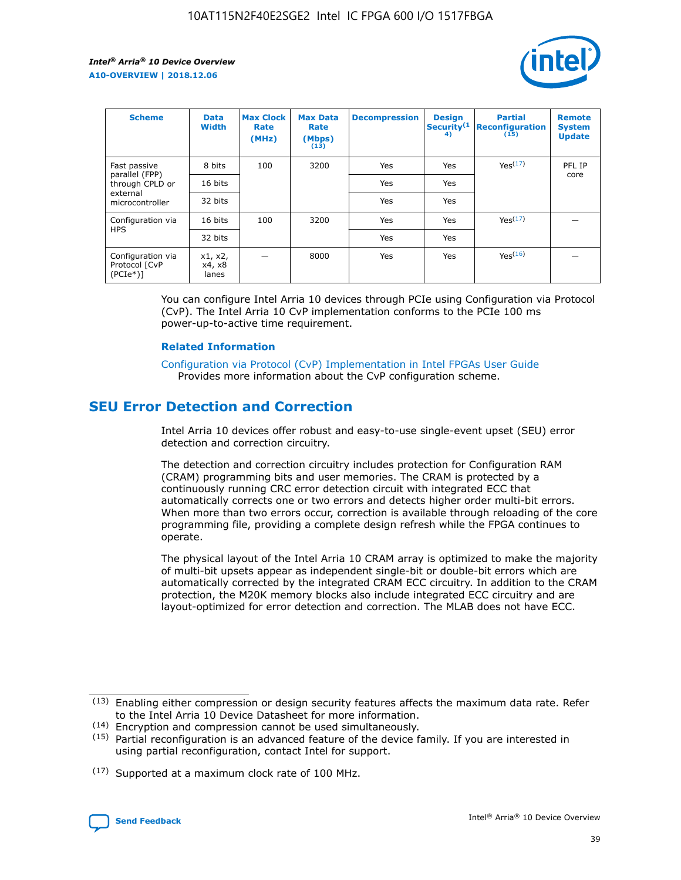

| <b>Scheme</b>                                    | <b>Data</b><br><b>Width</b> | <b>Max Clock</b><br>Rate<br>(MHz) | <b>Max Data</b><br>Rate<br>(Mbps)<br>(13) | <b>Decompression</b> | <b>Design</b><br>Security <sup>(1</sup><br>4) | <b>Partial</b><br><b>Reconfiguration</b><br>(15) | <b>Remote</b><br><b>System</b><br><b>Update</b> |
|--------------------------------------------------|-----------------------------|-----------------------------------|-------------------------------------------|----------------------|-----------------------------------------------|--------------------------------------------------|-------------------------------------------------|
| Fast passive                                     | 8 bits                      | 100                               | 3200                                      | Yes                  | Yes                                           | Yes(17)                                          | PFL IP                                          |
| parallel (FPP)<br>through CPLD or                | 16 bits                     |                                   |                                           | Yes                  | Yes                                           |                                                  | core                                            |
| external<br>microcontroller                      | 32 bits                     |                                   |                                           | Yes                  | Yes                                           |                                                  |                                                 |
| Configuration via                                | 16 bits                     | 100                               | 3200                                      | Yes                  | Yes                                           | Yes <sup>(17)</sup>                              |                                                 |
| <b>HPS</b>                                       | 32 bits                     |                                   |                                           | Yes                  | Yes                                           |                                                  |                                                 |
| Configuration via<br>Protocol [CvP<br>$(PCIe^*)$ | x1, x2,<br>x4, x8<br>lanes  |                                   | 8000                                      | Yes                  | Yes                                           | Yes(16)                                          |                                                 |

You can configure Intel Arria 10 devices through PCIe using Configuration via Protocol (CvP). The Intel Arria 10 CvP implementation conforms to the PCIe 100 ms power-up-to-active time requirement.

#### **Related Information**

[Configuration via Protocol \(CvP\) Implementation in Intel FPGAs User Guide](https://www.intel.com/content/www/us/en/programmable/documentation/dsu1441819344145.html#dsu1442269728522) Provides more information about the CvP configuration scheme.

# **SEU Error Detection and Correction**

Intel Arria 10 devices offer robust and easy-to-use single-event upset (SEU) error detection and correction circuitry.

The detection and correction circuitry includes protection for Configuration RAM (CRAM) programming bits and user memories. The CRAM is protected by a continuously running CRC error detection circuit with integrated ECC that automatically corrects one or two errors and detects higher order multi-bit errors. When more than two errors occur, correction is available through reloading of the core programming file, providing a complete design refresh while the FPGA continues to operate.

The physical layout of the Intel Arria 10 CRAM array is optimized to make the majority of multi-bit upsets appear as independent single-bit or double-bit errors which are automatically corrected by the integrated CRAM ECC circuitry. In addition to the CRAM protection, the M20K memory blocks also include integrated ECC circuitry and are layout-optimized for error detection and correction. The MLAB does not have ECC.

(14) Encryption and compression cannot be used simultaneously.

<sup>(17)</sup> Supported at a maximum clock rate of 100 MHz.



 $(13)$  Enabling either compression or design security features affects the maximum data rate. Refer to the Intel Arria 10 Device Datasheet for more information.

 $(15)$  Partial reconfiguration is an advanced feature of the device family. If you are interested in using partial reconfiguration, contact Intel for support.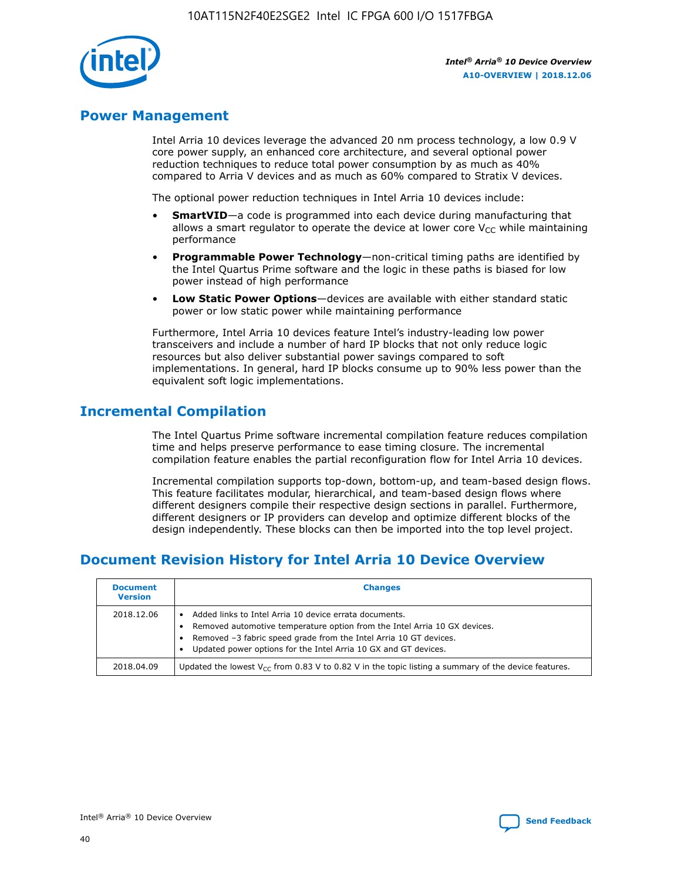

# **Power Management**

Intel Arria 10 devices leverage the advanced 20 nm process technology, a low 0.9 V core power supply, an enhanced core architecture, and several optional power reduction techniques to reduce total power consumption by as much as 40% compared to Arria V devices and as much as 60% compared to Stratix V devices.

The optional power reduction techniques in Intel Arria 10 devices include:

- **SmartVID**—a code is programmed into each device during manufacturing that allows a smart regulator to operate the device at lower core  $V_{CC}$  while maintaining performance
- **Programmable Power Technology**—non-critical timing paths are identified by the Intel Quartus Prime software and the logic in these paths is biased for low power instead of high performance
- **Low Static Power Options**—devices are available with either standard static power or low static power while maintaining performance

Furthermore, Intel Arria 10 devices feature Intel's industry-leading low power transceivers and include a number of hard IP blocks that not only reduce logic resources but also deliver substantial power savings compared to soft implementations. In general, hard IP blocks consume up to 90% less power than the equivalent soft logic implementations.

# **Incremental Compilation**

The Intel Quartus Prime software incremental compilation feature reduces compilation time and helps preserve performance to ease timing closure. The incremental compilation feature enables the partial reconfiguration flow for Intel Arria 10 devices.

Incremental compilation supports top-down, bottom-up, and team-based design flows. This feature facilitates modular, hierarchical, and team-based design flows where different designers compile their respective design sections in parallel. Furthermore, different designers or IP providers can develop and optimize different blocks of the design independently. These blocks can then be imported into the top level project.

# **Document Revision History for Intel Arria 10 Device Overview**

| <b>Document</b><br><b>Version</b> | <b>Changes</b>                                                                                                                                                                                                                                                              |
|-----------------------------------|-----------------------------------------------------------------------------------------------------------------------------------------------------------------------------------------------------------------------------------------------------------------------------|
| 2018.12.06                        | Added links to Intel Arria 10 device errata documents.<br>Removed automotive temperature option from the Intel Arria 10 GX devices.<br>Removed -3 fabric speed grade from the Intel Arria 10 GT devices.<br>Updated power options for the Intel Arria 10 GX and GT devices. |
| 2018.04.09                        | Updated the lowest $V_{CC}$ from 0.83 V to 0.82 V in the topic listing a summary of the device features.                                                                                                                                                                    |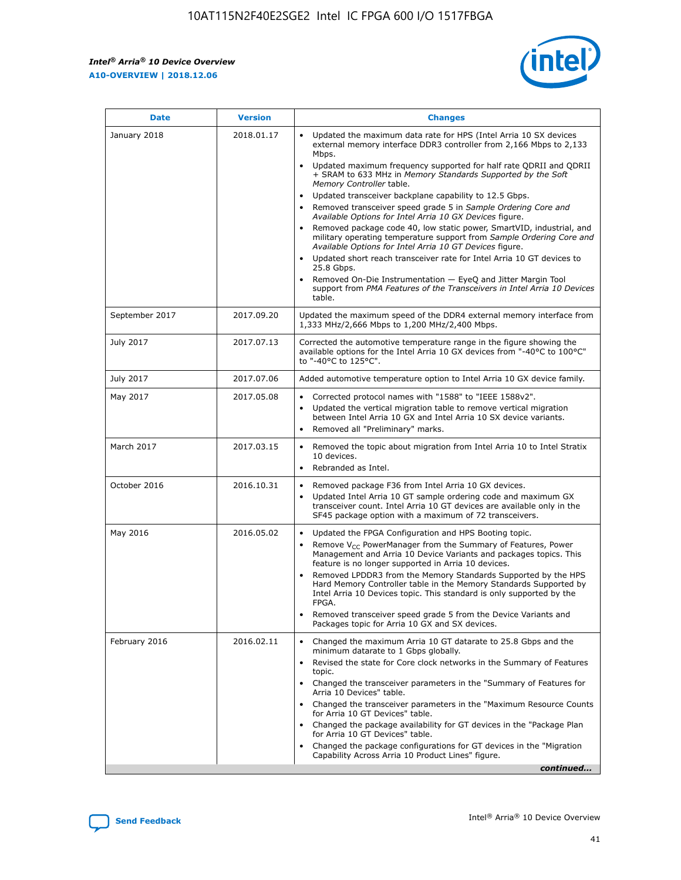*Intel® Arria® 10 Device Overview* **A10-OVERVIEW | 2018.12.06**



| <b>Date</b>    | <b>Version</b> | <b>Changes</b>                                                                                                                                                                                                                                                                                                                                                                                                                                                                                                                                                                                                                                                                                                                                                                                                                                                                                                                                                            |
|----------------|----------------|---------------------------------------------------------------------------------------------------------------------------------------------------------------------------------------------------------------------------------------------------------------------------------------------------------------------------------------------------------------------------------------------------------------------------------------------------------------------------------------------------------------------------------------------------------------------------------------------------------------------------------------------------------------------------------------------------------------------------------------------------------------------------------------------------------------------------------------------------------------------------------------------------------------------------------------------------------------------------|
| January 2018   | 2018.01.17     | Updated the maximum data rate for HPS (Intel Arria 10 SX devices<br>external memory interface DDR3 controller from 2,166 Mbps to 2,133<br>Mbps.<br>Updated maximum frequency supported for half rate QDRII and QDRII<br>+ SRAM to 633 MHz in Memory Standards Supported by the Soft<br>Memory Controller table.<br>Updated transceiver backplane capability to 12.5 Gbps.<br>$\bullet$<br>Removed transceiver speed grade 5 in Sample Ordering Core and<br>Available Options for Intel Arria 10 GX Devices figure.<br>Removed package code 40, low static power, SmartVID, industrial, and<br>military operating temperature support from Sample Ordering Core and<br>Available Options for Intel Arria 10 GT Devices figure.<br>Updated short reach transceiver rate for Intel Arria 10 GT devices to<br>25.8 Gbps.<br>Removed On-Die Instrumentation - EyeQ and Jitter Margin Tool<br>support from PMA Features of the Transceivers in Intel Arria 10 Devices<br>table. |
| September 2017 | 2017.09.20     | Updated the maximum speed of the DDR4 external memory interface from<br>1,333 MHz/2,666 Mbps to 1,200 MHz/2,400 Mbps.                                                                                                                                                                                                                                                                                                                                                                                                                                                                                                                                                                                                                                                                                                                                                                                                                                                     |
| July 2017      | 2017.07.13     | Corrected the automotive temperature range in the figure showing the<br>available options for the Intel Arria 10 GX devices from "-40°C to 100°C"<br>to "-40°C to 125°C".                                                                                                                                                                                                                                                                                                                                                                                                                                                                                                                                                                                                                                                                                                                                                                                                 |
| July 2017      | 2017.07.06     | Added automotive temperature option to Intel Arria 10 GX device family.                                                                                                                                                                                                                                                                                                                                                                                                                                                                                                                                                                                                                                                                                                                                                                                                                                                                                                   |
| May 2017       | 2017.05.08     | Corrected protocol names with "1588" to "IEEE 1588v2".<br>$\bullet$<br>Updated the vertical migration table to remove vertical migration<br>$\bullet$<br>between Intel Arria 10 GX and Intel Arria 10 SX device variants.<br>Removed all "Preliminary" marks.<br>$\bullet$                                                                                                                                                                                                                                                                                                                                                                                                                                                                                                                                                                                                                                                                                                |
| March 2017     | 2017.03.15     | Removed the topic about migration from Intel Arria 10 to Intel Stratix<br>10 devices.<br>Rebranded as Intel.<br>$\bullet$                                                                                                                                                                                                                                                                                                                                                                                                                                                                                                                                                                                                                                                                                                                                                                                                                                                 |
| October 2016   | 2016.10.31     | Removed package F36 from Intel Arria 10 GX devices.<br>Updated Intel Arria 10 GT sample ordering code and maximum GX<br>$\bullet$<br>transceiver count. Intel Arria 10 GT devices are available only in the<br>SF45 package option with a maximum of 72 transceivers.                                                                                                                                                                                                                                                                                                                                                                                                                                                                                                                                                                                                                                                                                                     |
| May 2016       | 2016.05.02     | Updated the FPGA Configuration and HPS Booting topic.<br>$\bullet$<br>Remove V <sub>CC</sub> PowerManager from the Summary of Features, Power<br>Management and Arria 10 Device Variants and packages topics. This<br>feature is no longer supported in Arria 10 devices.<br>Removed LPDDR3 from the Memory Standards Supported by the HPS<br>Hard Memory Controller table in the Memory Standards Supported by<br>Intel Arria 10 Devices topic. This standard is only supported by the<br>FPGA.<br>Removed transceiver speed grade 5 from the Device Variants and<br>Packages topic for Arria 10 GX and SX devices.                                                                                                                                                                                                                                                                                                                                                      |
| February 2016  | 2016.02.11     | Changed the maximum Arria 10 GT datarate to 25.8 Gbps and the<br>minimum datarate to 1 Gbps globally.<br>Revised the state for Core clock networks in the Summary of Features<br>$\bullet$<br>topic.<br>Changed the transceiver parameters in the "Summary of Features for<br>$\bullet$<br>Arria 10 Devices" table.<br>• Changed the transceiver parameters in the "Maximum Resource Counts<br>for Arria 10 GT Devices" table.<br>Changed the package availability for GT devices in the "Package Plan<br>for Arria 10 GT Devices" table.<br>Changed the package configurations for GT devices in the "Migration"<br>Capability Across Arria 10 Product Lines" figure.<br>continued                                                                                                                                                                                                                                                                                       |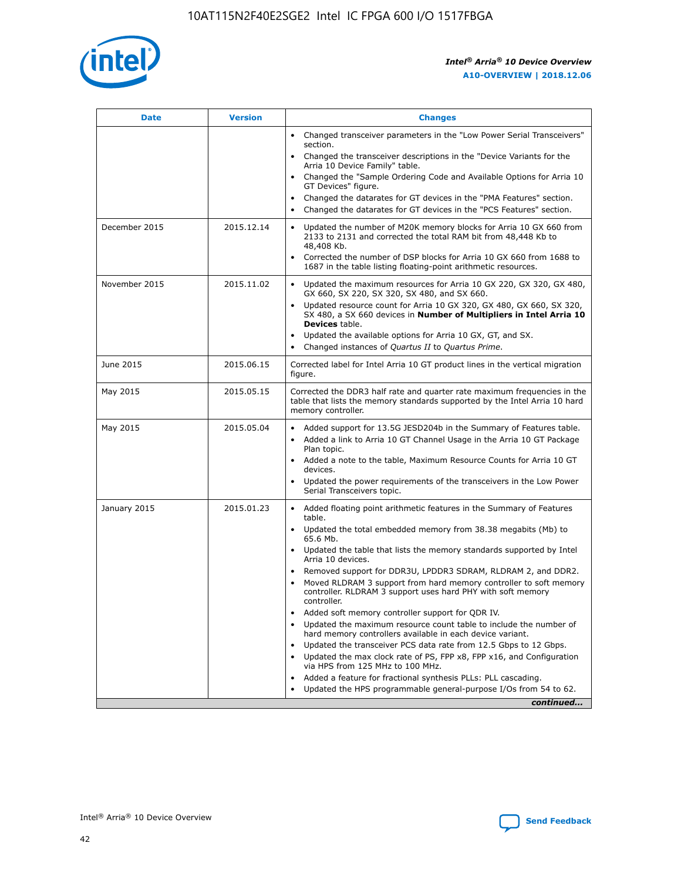

| <b>Date</b>   | <b>Version</b> | <b>Changes</b>                                                                                                                                                               |
|---------------|----------------|------------------------------------------------------------------------------------------------------------------------------------------------------------------------------|
|               |                | • Changed transceiver parameters in the "Low Power Serial Transceivers"<br>section.                                                                                          |
|               |                | Changed the transceiver descriptions in the "Device Variants for the<br>Arria 10 Device Family" table.                                                                       |
|               |                | Changed the "Sample Ordering Code and Available Options for Arria 10<br>GT Devices" figure.                                                                                  |
|               |                | Changed the datarates for GT devices in the "PMA Features" section.                                                                                                          |
|               |                | Changed the datarates for GT devices in the "PCS Features" section.                                                                                                          |
| December 2015 | 2015.12.14     | Updated the number of M20K memory blocks for Arria 10 GX 660 from<br>2133 to 2131 and corrected the total RAM bit from 48,448 Kb to<br>48,408 Kb.                            |
|               |                | Corrected the number of DSP blocks for Arria 10 GX 660 from 1688 to<br>$\bullet$<br>1687 in the table listing floating-point arithmetic resources.                           |
| November 2015 | 2015.11.02     | Updated the maximum resources for Arria 10 GX 220, GX 320, GX 480,<br>GX 660, SX 220, SX 320, SX 480, and SX 660.                                                            |
|               |                | • Updated resource count for Arria 10 GX 320, GX 480, GX 660, SX 320,<br>SX 480, a SX 660 devices in Number of Multipliers in Intel Arria 10<br><b>Devices</b> table.        |
|               |                | Updated the available options for Arria 10 GX, GT, and SX.                                                                                                                   |
|               |                | Changed instances of Quartus II to Quartus Prime.<br>$\bullet$                                                                                                               |
| June 2015     | 2015.06.15     | Corrected label for Intel Arria 10 GT product lines in the vertical migration<br>figure.                                                                                     |
| May 2015      | 2015.05.15     | Corrected the DDR3 half rate and quarter rate maximum frequencies in the<br>table that lists the memory standards supported by the Intel Arria 10 hard<br>memory controller. |
| May 2015      | 2015.05.04     | • Added support for 13.5G JESD204b in the Summary of Features table.<br>Added a link to Arria 10 GT Channel Usage in the Arria 10 GT Package<br>$\bullet$<br>Plan topic.     |
|               |                | • Added a note to the table, Maximum Resource Counts for Arria 10 GT<br>devices.                                                                                             |
|               |                | • Updated the power requirements of the transceivers in the Low Power<br>Serial Transceivers topic.                                                                          |
| January 2015  | 2015.01.23     | • Added floating point arithmetic features in the Summary of Features<br>table.                                                                                              |
|               |                | • Updated the total embedded memory from 38.38 megabits (Mb) to<br>65.6 Mb.                                                                                                  |
|               |                | • Updated the table that lists the memory standards supported by Intel<br>Arria 10 devices.                                                                                  |
|               |                | Removed support for DDR3U, LPDDR3 SDRAM, RLDRAM 2, and DDR2.                                                                                                                 |
|               |                | Moved RLDRAM 3 support from hard memory controller to soft memory<br>controller. RLDRAM 3 support uses hard PHY with soft memory<br>controller.                              |
|               |                | Added soft memory controller support for QDR IV.<br>$\bullet$                                                                                                                |
|               |                | Updated the maximum resource count table to include the number of<br>$\bullet$<br>hard memory controllers available in each device variant.                                  |
|               |                | Updated the transceiver PCS data rate from 12.5 Gbps to 12 Gbps.<br>$\bullet$                                                                                                |
|               |                | Updated the max clock rate of PS, FPP x8, FPP x16, and Configuration<br>via HPS from 125 MHz to 100 MHz.                                                                     |
|               |                | Added a feature for fractional synthesis PLLs: PLL cascading.<br>$\bullet$                                                                                                   |
|               |                | Updated the HPS programmable general-purpose I/Os from 54 to 62.                                                                                                             |
|               |                | continued                                                                                                                                                                    |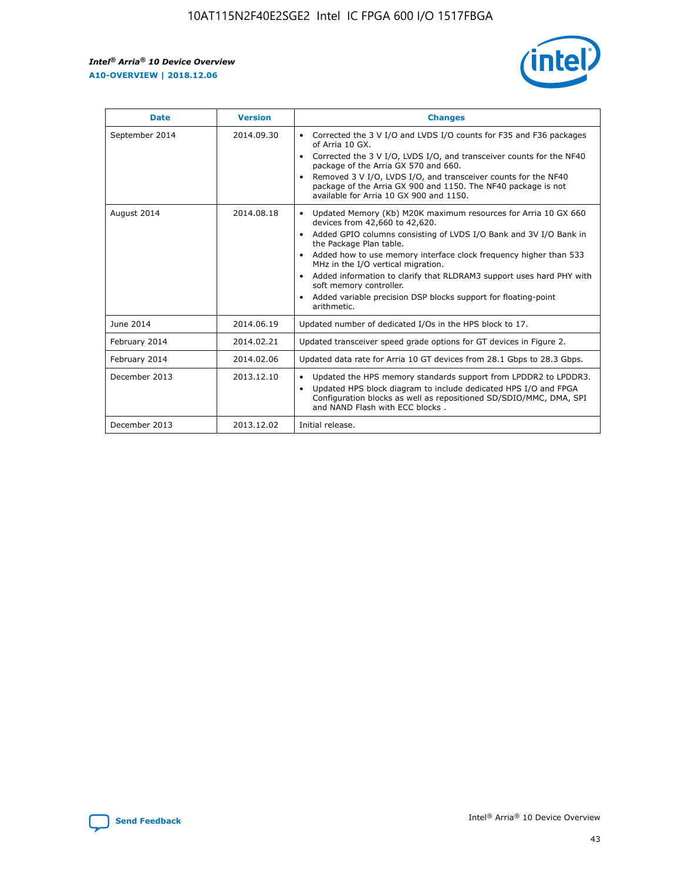r



| <b>Date</b>    | <b>Version</b> | <b>Changes</b>                                                                                                                                                                                                                                                                                                                                                                                                                                                                                                                                      |
|----------------|----------------|-----------------------------------------------------------------------------------------------------------------------------------------------------------------------------------------------------------------------------------------------------------------------------------------------------------------------------------------------------------------------------------------------------------------------------------------------------------------------------------------------------------------------------------------------------|
| September 2014 | 2014.09.30     | Corrected the 3 V I/O and LVDS I/O counts for F35 and F36 packages<br>$\bullet$<br>of Arria 10 GX.<br>Corrected the 3 V I/O, LVDS I/O, and transceiver counts for the NF40<br>$\bullet$<br>package of the Arria GX 570 and 660.<br>Removed 3 V I/O, LVDS I/O, and transceiver counts for the NF40<br>$\bullet$<br>package of the Arria GX 900 and 1150. The NF40 package is not<br>available for Arria 10 GX 900 and 1150.                                                                                                                          |
| August 2014    | 2014.08.18     | Updated Memory (Kb) M20K maximum resources for Arria 10 GX 660<br>devices from 42,660 to 42,620.<br>Added GPIO columns consisting of LVDS I/O Bank and 3V I/O Bank in<br>$\bullet$<br>the Package Plan table.<br>Added how to use memory interface clock frequency higher than 533<br>$\bullet$<br>MHz in the I/O vertical migration.<br>Added information to clarify that RLDRAM3 support uses hard PHY with<br>$\bullet$<br>soft memory controller.<br>Added variable precision DSP blocks support for floating-point<br>$\bullet$<br>arithmetic. |
| June 2014      | 2014.06.19     | Updated number of dedicated I/Os in the HPS block to 17.                                                                                                                                                                                                                                                                                                                                                                                                                                                                                            |
| February 2014  | 2014.02.21     | Updated transceiver speed grade options for GT devices in Figure 2.                                                                                                                                                                                                                                                                                                                                                                                                                                                                                 |
| February 2014  | 2014.02.06     | Updated data rate for Arria 10 GT devices from 28.1 Gbps to 28.3 Gbps.                                                                                                                                                                                                                                                                                                                                                                                                                                                                              |
| December 2013  | 2013.12.10     | Updated the HPS memory standards support from LPDDR2 to LPDDR3.<br>$\bullet$<br>Updated HPS block diagram to include dedicated HPS I/O and FPGA<br>$\bullet$<br>Configuration blocks as well as repositioned SD/SDIO/MMC, DMA, SPI<br>and NAND Flash with ECC blocks.                                                                                                                                                                                                                                                                               |
| December 2013  | 2013.12.02     | Initial release.                                                                                                                                                                                                                                                                                                                                                                                                                                                                                                                                    |